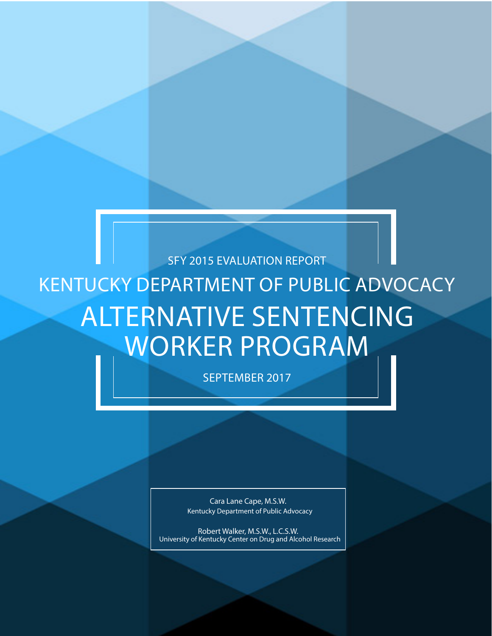# SFY 2015 EVALUATION REPORT KENTUCKY DEPARTMENT OF PUBLIC ADVOCACY ALTERNATIVE SENTENCING WORKER PROGRAM

SEPTEMBER 2017

Cara Lane Cape, M.S.W. Kentucky Department of Public Advocacy

Robert Walker, M.S.W., L.C.S.W. University of Kentucky Center on Drug and Alcohol Research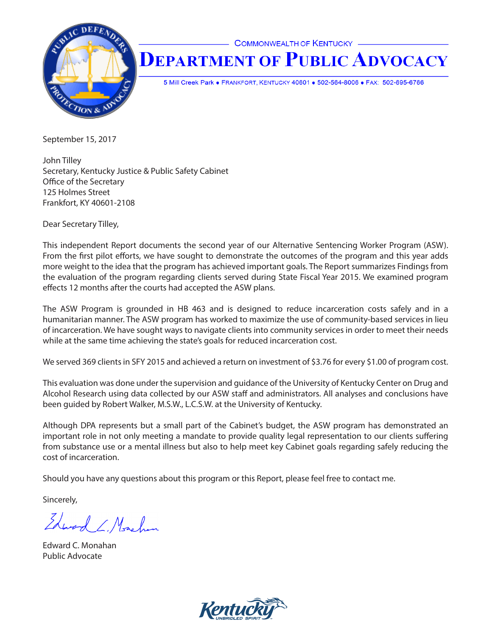

## **COMMONWEALTH OF KENTUCKY DEPARTMENT OF PUBLIC ADVOCACY**

5 Mill Creek Park . FRANKFORT, KENTUCKY 40601 . 502-564-8006 . FAX: 502-695-6766

September 15, 2017

John Tilley Secretary, Kentucky Justice & Public Safety Cabinet Office of the Secretary 125 Holmes Street Frankfort, KY 40601-2108

Dear Secretary Tilley,

This independent Report documents the second year of our Alternative Sentencing Worker Program (ASW). From the first pilot efforts, we have sought to demonstrate the outcomes of the program and this year adds more weight to the idea that the program has achieved important goals. The Report summarizes Findings from the evaluation of the program regarding clients served during State Fiscal Year 2015. We examined program effects 12 months after the courts had accepted the ASW plans.

The ASW Program is grounded in HB 463 and is designed to reduce incarceration costs safely and in a humanitarian manner. The ASW program has worked to maximize the use of community-based services in lieu of incarceration. We have sought ways to navigate clients into community services in order to meet their needs while at the same time achieving the state's goals for reduced incarceration cost.

We served 369 clients in SFY 2015 and achieved a return on investment of \$3.76 for every \$1.00 of program cost.

This evaluation was done under the supervision and guidance of the University of Kentucky Center on Drug and Alcohol Research using data collected by our ASW staff and administrators. All analyses and conclusions have been guided by Robert Walker, M.S.W., L.C.S.W. at the University of Kentucky.

Although DPA represents but a small part of the Cabinet's budget, the ASW program has demonstrated an important role in not only meeting a mandate to provide quality legal representation to our clients suffering from substance use or a mental illness but also to help meet key Cabinet goals regarding safely reducing the cost of incarceration.

Should you have any questions about this program or this Report, please feel free to contact me.

Sincerely,

Edward C. Monchan

Edward C. Monahan Public Advocate

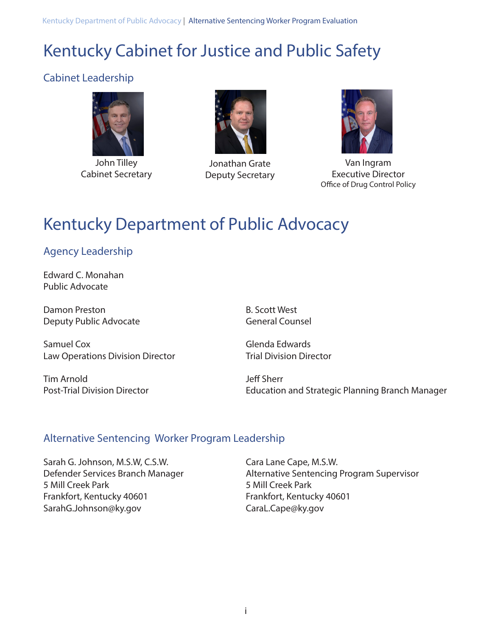Kentucky Department of Public Advocacy | Alternative Sentencing Worker Program Evaluation

## Kentucky Cabinet for Justice and Public Safety

## Cabinet Leadership



John Tilley Cabinet Secretary



Jonathan Grate Deputy Secretary



Van Ingram Executive Director Office of Drug Control Policy

## Kentucky Department of Public Advocacy

## Agency Leadership

Edward C. Monahan Public Advocate

Damon Preston B. Scott West Deputy Public Advocate General Counsel

Samuel Cox Glenda Edwards Law Operations Division Director Trial Division Director

Tim Arnold Jeff Sherr

Post-Trial Division Director **Education and Strategic Planning Branch Manager** 

## Alternative Sentencing Worker Program Leadership

Sarah G. Johnson, M.S.W, C.S.W. Cara Lane Cape, M.S.W. 5 Mill Creek Park 5 Mill Creek Park Frankfort, Kentucky 40601 Frankfort, Kentucky 40601 SarahG.Johnson@ky.gov CaraL.Cape@ky.gov

Defender Services Branch Manager Alternative Sentencing Program Supervisor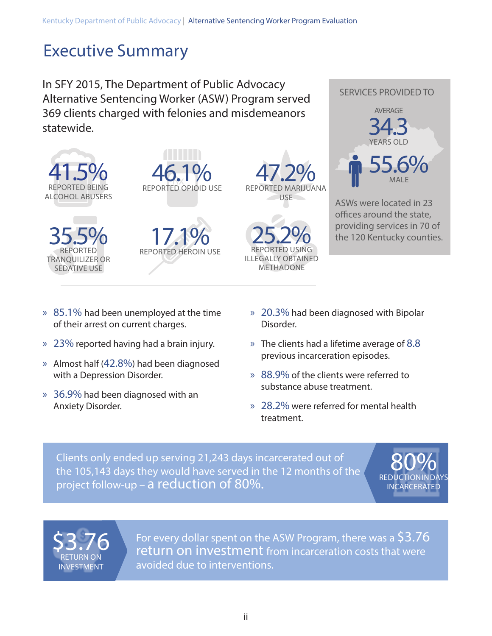## Executive Summary

In SFY 2015, The Department of Public Advocacy Alternative Sentencing Worker (ASW) Program served 369 clients charged with felonies and misdemeanors statewide.







**17.1%**<br>REPORTED HEROIN USE



REPORTED USING 25.2% ILLEGALLY OBTAINED METHADONE



SERVICES PROVIDED TO

ASWs were located in 23 offices around the state, providing services in 70 of the 120 Kentucky counties.

- » 85.1% had been unemployed at the time of their arrest on current charges.
- » 23% reported having had a brain injury.
- » Almost half (42.8%) had been diagnosed with a Depression Disorder.
- » 36.9% had been diagnosed with an Anxiety Disorder.
- » 20.3% had been diagnosed with Bipolar Disorder.
- » The clients had a lifetime average of 8.8 previous incarceration episodes.
- » 88.9% of the clients were referred to substance abuse treatment.
- » 28.2% were referred for mental health treatment.

Clients only ended up serving 21,243 days incarcerated out of the 105,143 days they would have served in the 12 months of the project follow-up – a reduction of 80%.

**REDUCTION IN DAYS** 80% INCARCERATED



For every dollar spent on the ASW Program, there was a \$3.76 return on investment from incarceration costs that were avoided due to interventions.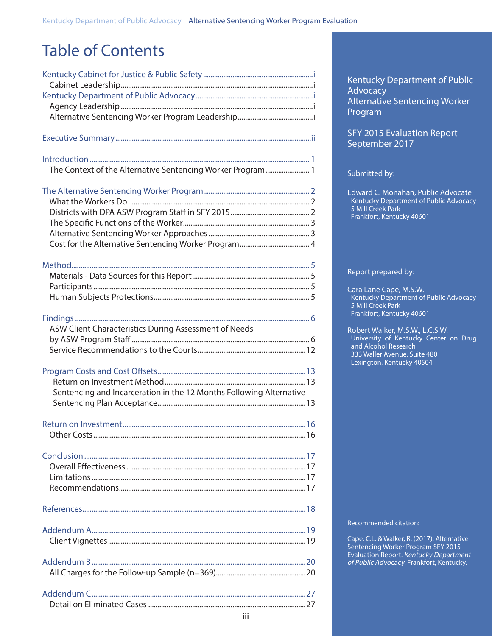## Table of Contents

| The Context of the Alternative Sentencing Worker Program 1          |  |
|---------------------------------------------------------------------|--|
|                                                                     |  |
|                                                                     |  |
|                                                                     |  |
|                                                                     |  |
|                                                                     |  |
|                                                                     |  |
|                                                                     |  |
|                                                                     |  |
|                                                                     |  |
|                                                                     |  |
|                                                                     |  |
| ASW Client Characteristics During Assessment of Needs               |  |
|                                                                     |  |
|                                                                     |  |
|                                                                     |  |
|                                                                     |  |
| Sentencing and Incarceration in the 12 Months Following Alternative |  |
|                                                                     |  |
|                                                                     |  |
|                                                                     |  |
|                                                                     |  |
|                                                                     |  |
|                                                                     |  |
|                                                                     |  |
|                                                                     |  |
|                                                                     |  |
|                                                                     |  |
|                                                                     |  |
|                                                                     |  |
|                                                                     |  |
|                                                                     |  |
|                                                                     |  |

Kentucky Department of Public **Advocacy** Alternative Sentencing Worker Program

SFY 2015 Evaluation Report September 2017

#### Submitted by:

Edward C. Monahan, Public Advocate Kentucky Department of Public Advocacy 5 Mill Creek Park Frankfort, Kentucky 40601

#### Report prepared by:

Cara Lane Cape, M.S.W. Kentucky Department of Public Advocacy 5 Mill Creek Park Frankfort, Kentucky 40601

Robert Walker, M.S.W., L.C.S.W. University of Kentucky Center on Drug and Alcohol Research 333 Waller Avenue, Suite 480 Lexington, Kentucky 40504

Recommended citation:

Cape, C.L. & Walker, R. (2017). Alternative Sentencing Worker Program SFY 2015 Evaluation Report. Kentucky Department of Public Advocacy. Frankfort, Kentucky.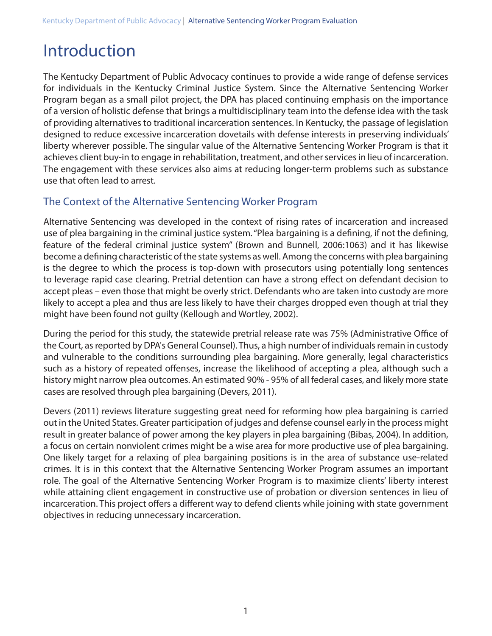## Introduction

The Kentucky Department of Public Advocacy continues to provide a wide range of defense services for individuals in the Kentucky Criminal Justice System. Since the Alternative Sentencing Worker Program began as a small pilot project, the DPA has placed continuing emphasis on the importance of a version of holistic defense that brings a multidisciplinary team into the defense idea with the task of providing alternatives to traditional incarceration sentences. In Kentucky, the passage of legislation designed to reduce excessive incarceration dovetails with defense interests in preserving individuals' liberty wherever possible. The singular value of the Alternative Sentencing Worker Program is that it achieves client buy-in to engage in rehabilitation, treatment, and other services in lieu of incarceration. The engagement with these services also aims at reducing longer-term problems such as substance use that often lead to arrest.

## The Context of the Alternative Sentencing Worker Program

Alternative Sentencing was developed in the context of rising rates of incarceration and increased use of plea bargaining in the criminal justice system. "Plea bargaining is a defining, if not the defining, feature of the federal criminal justice system" (Brown and Bunnell, 2006:1063) and it has likewise become a defining characteristic of the state systems as well. Among the concerns with plea bargaining is the degree to which the process is top-down with prosecutors using potentially long sentences to leverage rapid case clearing. Pretrial detention can have a strong effect on defendant decision to accept pleas – even those that might be overly strict. Defendants who are taken into custody are more likely to accept a plea and thus are less likely to have their charges dropped even though at trial they might have been found not guilty (Kellough and Wortley, 2002).

During the period for this study, the statewide pretrial release rate was 75% (Administrative Office of the Court, as reported by DPA's General Counsel). Thus, a high number of individuals remain in custody and vulnerable to the conditions surrounding plea bargaining. More generally, legal characteristics such as a history of repeated offenses, increase the likelihood of accepting a plea, although such a history might narrow plea outcomes. An estimated 90% - 95% of all federal cases, and likely more state cases are resolved through plea bargaining (Devers, 2011).

Devers (2011) reviews literature suggesting great need for reforming how plea bargaining is carried out in the United States. Greater participation of judges and defense counsel early in the process might result in greater balance of power among the key players in plea bargaining (Bibas, 2004). In addition, a focus on certain nonviolent crimes might be a wise area for more productive use of plea bargaining. One likely target for a relaxing of plea bargaining positions is in the area of substance use-related crimes. It is in this context that the Alternative Sentencing Worker Program assumes an important role. The goal of the Alternative Sentencing Worker Program is to maximize clients' liberty interest while attaining client engagement in constructive use of probation or diversion sentences in lieu of incarceration. This project offers a different way to defend clients while joining with state government objectives in reducing unnecessary incarceration.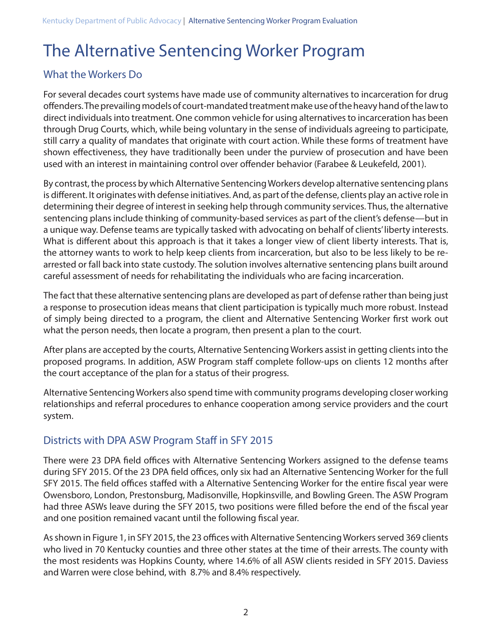## The Alternative Sentencing Worker Program

### What the Workers Do

For several decades court systems have made use of community alternatives to incarceration for drug offenders. The prevailing models of court-mandated treatment make use of the heavy hand of the law to direct individuals into treatment. One common vehicle for using alternatives to incarceration has been through Drug Courts, which, while being voluntary in the sense of individuals agreeing to participate, still carry a quality of mandates that originate with court action. While these forms of treatment have shown effectiveness, they have traditionally been under the purview of prosecution and have been used with an interest in maintaining control over offender behavior (Farabee & Leukefeld, 2001).

By contrast, the process by which Alternative Sentencing Workers develop alternative sentencing plans is different. It originates with defense initiatives. And, as part of the defense, clients play an active role in determining their degree of interest in seeking help through community services. Thus, the alternative sentencing plans include thinking of community-based services as part of the client's defense—but in a unique way. Defense teams are typically tasked with advocating on behalf of clients' liberty interests. What is different about this approach is that it takes a longer view of client liberty interests. That is, the attorney wants to work to help keep clients from incarceration, but also to be less likely to be rearrested or fall back into state custody. The solution involves alternative sentencing plans built around careful assessment of needs for rehabilitating the individuals who are facing incarceration.

The fact that these alternative sentencing plans are developed as part of defense rather than being just a response to prosecution ideas means that client participation is typically much more robust. Instead of simply being directed to a program, the client and Alternative Sentencing Worker first work out what the person needs, then locate a program, then present a plan to the court.

After plans are accepted by the courts, Alternative Sentencing Workers assist in getting clients into the proposed programs. In addition, ASW Program staff complete follow-ups on clients 12 months after the court acceptance of the plan for a status of their progress.

Alternative Sentencing Workers also spend time with community programs developing closer working relationships and referral procedures to enhance cooperation among service providers and the court system.

## Districts with DPA ASW Program Staff in SFY 2015

There were 23 DPA field offices with Alternative Sentencing Workers assigned to the defense teams during SFY 2015. Of the 23 DPA field offices, only six had an Alternative Sentencing Worker for the full SFY 2015. The field offices staffed with a Alternative Sentencing Worker for the entire fiscal year were Owensboro, London, Prestonsburg, Madisonville, Hopkinsville, and Bowling Green. The ASW Program had three ASWs leave during the SFY 2015, two positions were filled before the end of the fiscal year and one position remained vacant until the following fiscal year.

As shown in Figure 1, in SFY 2015, the 23 offices with Alternative Sentencing Workers served 369 clients who lived in 70 Kentucky counties and three other states at the time of their arrests. The county with the most residents was Hopkins County, where 14.6% of all ASW clients resided in SFY 2015. Daviess and Warren were close behind, with 8.7% and 8.4% respectively.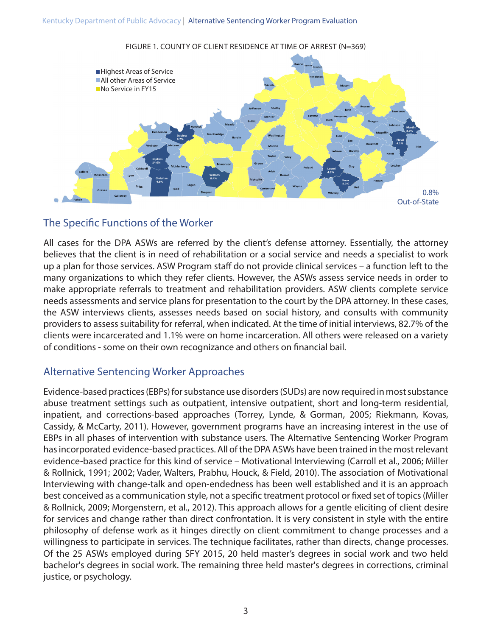Kentucky Department of Public Advocacy | Alternative Sentencing Worker Program Evaluation



FIGURE 1. COUNTY OF CLIENT RESIDENCE AT TIME OF ARREST (N=369)

### The Specific Functions of the Worker

All cases for the DPA ASWs are referred by the client's defense attorney. Essentially, the attorney believes that the client is in need of rehabilitation or a social service and needs a specialist to work up a plan for those services. ASW Program staff do not provide clinical services – a function left to the many organizations to which they refer clients. However, the ASWs assess service needs in order to make appropriate referrals to treatment and rehabilitation providers. ASW clients complete service needs assessments and service plans for presentation to the court by the DPA attorney. In these cases, the ASW interviews clients, assesses needs based on social history, and consults with community providers to assess suitability for referral, when indicated. At the time of initial interviews, 82.7% of the clients were incarcerated and 1.1% were on home incarceration. All others were released on a variety of conditions - some on their own recognizance and others on financial bail.

### Alternative Sentencing Worker Approaches

Evidence-based practices (EBPs) for substance use disorders (SUDs) are now required in most substance abuse treatment settings such as outpatient, intensive outpatient, short and long-term residential, inpatient, and corrections-based approaches (Torrey, Lynde, & Gorman, 2005; Riekmann, Kovas, Cassidy, & McCarty, 2011). However, government programs have an increasing interest in the use of EBPs in all phases of intervention with substance users. The Alternative Sentencing Worker Program has incorporated evidence-based practices. All of the DPA ASWs have been trained in the most relevant evidence-based practice for this kind of service – Motivational Interviewing (Carroll et al., 2006; Miller & Rollnick, 1991; 2002; Vader, Walters, Prabhu, Houck, & Field, 2010). The association of Motivational Interviewing with change-talk and open-endedness has been well established and it is an approach best conceived as a communication style, not a specific treatment protocol or fixed set of topics (Miller & Rollnick, 2009; Morgenstern, et al., 2012). This approach allows for a gentle eliciting of client desire for services and change rather than direct confrontation. It is very consistent in style with the entire philosophy of defense work as it hinges directly on client commitment to change processes and a willingness to participate in services. The technique facilitates, rather than directs, change processes. Of the 25 ASWs employed during SFY 2015, 20 held master's degrees in social work and two held bachelor's degrees in social work. The remaining three held master's degrees in corrections, criminal justice, or psychology.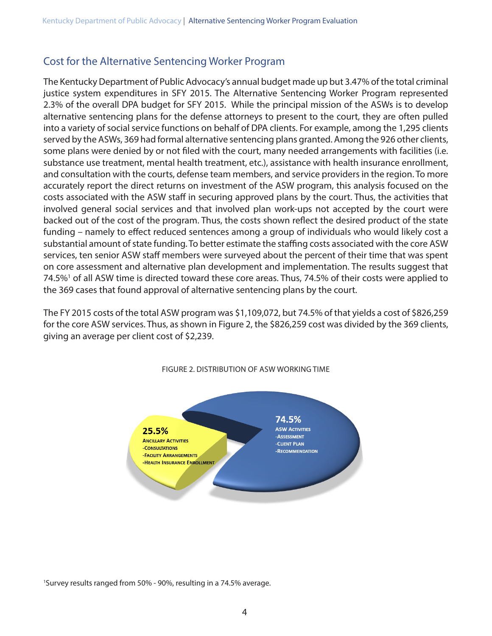## Cost for the Alternative Sentencing Worker Program

The Kentucky Department of Public Advocacy's annual budget made up but 3.47% of the total criminal justice system expenditures in SFY 2015. The Alternative Sentencing Worker Program represented 2.3% of the overall DPA budget for SFY 2015. While the principal mission of the ASWs is to develop alternative sentencing plans for the defense attorneys to present to the court, they are often pulled into a variety of social service functions on behalf of DPA clients. For example, among the 1,295 clients served by the ASWs, 369 had formal alternative sentencing plans granted. Among the 926 other clients, some plans were denied by or not filed with the court, many needed arrangements with facilities (i.e. substance use treatment, mental health treatment, etc.), assistance with health insurance enrollment, and consultation with the courts, defense team members, and service providers in the region. To more accurately report the direct returns on investment of the ASW program, this analysis focused on the costs associated with the ASW staff in securing approved plans by the court. Thus, the activities that involved general social services and that involved plan work-ups not accepted by the court were backed out of the cost of the program. Thus, the costs shown reflect the desired product of the state funding – namely to effect reduced sentences among a group of individuals who would likely cost a substantial amount of state funding. To better estimate the staffing costs associated with the core ASW services, ten senior ASW staff members were surveyed about the percent of their time that was spent on core assessment and alternative plan development and implementation. The results suggest that 74.5%<sup>1</sup> of all ASW time is directed toward these core areas. Thus, 74.5% of their costs were applied to the 369 cases that found approval of alternative sentencing plans by the court.

The FY 2015 costs of the total ASW program was \$1,109,072, but 74.5% of that yields a cost of \$826,259 for the core ASW services. Thus, as shown in Figure 2, the \$826,259 cost was divided by the 369 clients, giving an average per client cost of \$2,239.



FIGURE 2. DISTRIBUTION OF ASW WORKING TIME

1 Survey results ranged from 50% - 90%, resulting in a 74.5% average.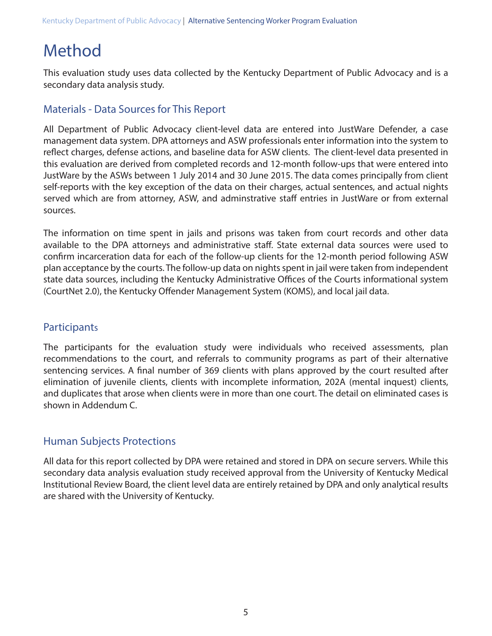## Method

This evaluation study uses data collected by the Kentucky Department of Public Advocacy and is a secondary data analysis study.

### Materials - Data Sources for This Report

All Department of Public Advocacy client-level data are entered into JustWare Defender, a case management data system. DPA attorneys and ASW professionals enter information into the system to reflect charges, defense actions, and baseline data for ASW clients. The client-level data presented in this evaluation are derived from completed records and 12-month follow-ups that were entered into JustWare by the ASWs between 1 July 2014 and 30 June 2015. The data comes principally from client self-reports with the key exception of the data on their charges, actual sentences, and actual nights served which are from attorney, ASW, and adminstrative staff entries in JustWare or from external sources.

The information on time spent in jails and prisons was taken from court records and other data available to the DPA attorneys and administrative staff. State external data sources were used to confirm incarceration data for each of the follow-up clients for the 12-month period following ASW plan acceptance by the courts. The follow-up data on nights spent in jail were taken from independent state data sources, including the Kentucky Administrative Offices of the Courts informational system (CourtNet 2.0), the Kentucky Offender Management System (KOMS), and local jail data.

## **Participants**

The participants for the evaluation study were individuals who received assessments, plan recommendations to the court, and referrals to community programs as part of their alternative sentencing services. A final number of 369 clients with plans approved by the court resulted after elimination of juvenile clients, clients with incomplete information, 202A (mental inquest) clients, and duplicates that arose when clients were in more than one court. The detail on eliminated cases is shown in Addendum C.

### Human Subjects Protections

All data for this report collected by DPA were retained and stored in DPA on secure servers. While this secondary data analysis evaluation study received approval from the University of Kentucky Medical Institutional Review Board, the client level data are entirely retained by DPA and only analytical results are shared with the University of Kentucky.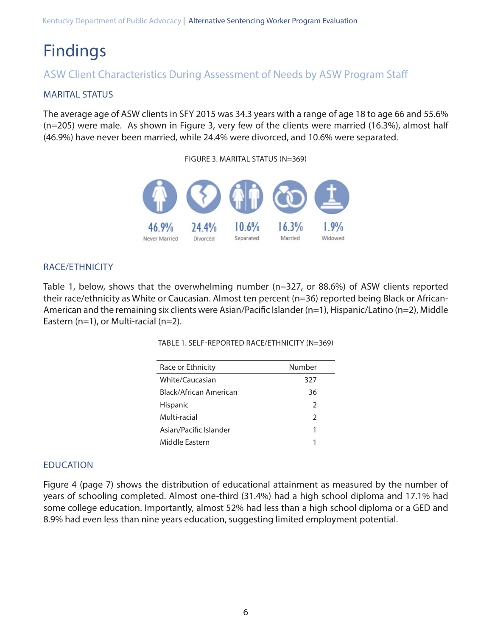## Findings

## ASW Client Characteristics During Assessment of Needs by ASW Program Staff

#### MARITAL STATUS

The average age of ASW clients in SFY 2015 was 34.3 years with a range of age 18 to age 66 and 55.6% (n=205) were male. As shown in Figure 3, very few of the clients were married (16.3%), almost half (46.9%) have never been married, while 24.4% were divorced, and 10.6% were separated.

#### FIGURE 3. MARITAL STATUS (N=369)



#### RACE/ETHNICITY

Table 1, below, shows that the overwhelming number (n=327, or 88.6%) of ASW clients reported their race/ethnicity as White or Caucasian. Almost ten percent (n=36) reported being Black or African-American and the remaining six clients were Asian/Pacific Islander (n=1), Hispanic/Latino (n=2), Middle Eastern (n=1), or Multi-racial (n=2).

TABLE 1. SELF-REPORTED RACE/ETHNICITY (N=369)

| Race or Ethnicity      | Number        |
|------------------------|---------------|
| White/Caucasian        | 327           |
| Black/African American | 36            |
| <b>Hispanic</b>        | 2             |
| Multi-racial           | $\mathcal{P}$ |
| Asian/Pacific Islander | 1             |
| Middle Fastern         | 1             |

#### EDUCATION

Figure 4 (page 7) shows the distribution of educational attainment as measured by the number of years of schooling completed. Almost one-third (31.4%) had a high school diploma and 17.1% had some college education. Importantly, almost 52% had less than a high school diploma or a GED and 8.9% had even less than nine years education, suggesting limited employment potential.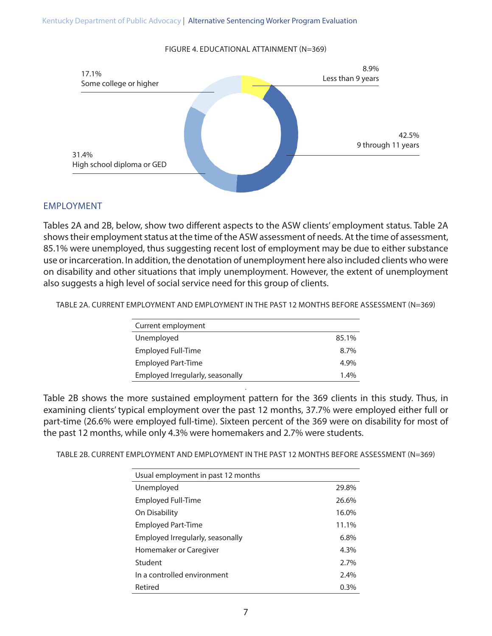#### FIGURE 4. EDUCATIONAL ATTAINMENT (N=369)



#### EMPLOYMENT

Tables 2A and 2B, below, show two different aspects to the ASW clients' employment status. Table 2A shows their employment status at the time of the ASW assessment of needs. At the time of assessment, 85.1% were unemployed, thus suggesting recent lost of employment may be due to either substance use or incarceration. In addition, the denotation of unemployment here also included clients who were on disability and other situations that imply unemployment. However, the extent of unemployment also suggests a high level of social service need for this group of clients.

TABLE 2A. CURRENT EMPLOYMENT AND EMPLOYMENT IN THE PAST 12 MONTHS BEFORE ASSESSMENT (N=369)

| Current employment               |         |
|----------------------------------|---------|
| Unemployed                       | 85.1%   |
| <b>Employed Full-Time</b>        | 8.7%    |
| <b>Employed Part-Time</b>        | 4.9%    |
| Employed Irregularly, seasonally | $1.4\%$ |

Table 2B shows the more sustained employment pattern for the 369 clients in this study. Thus, in examining clients' typical employment over the past 12 months, 37.7% were employed either full or part-time (26.6% were employed full-time). Sixteen percent of the 369 were on disability for most of the past 12 months, while only 4.3% were homemakers and 2.7% were students.

.

TABLE 2B. CURRENT EMPLOYMENT AND EMPLOYMENT IN THE PAST 12 MONTHS BEFORE ASSESSMENT (N=369)

| Usual employment in past 12 months |       |
|------------------------------------|-------|
| Unemployed                         | 29.8% |
| Employed Full-Time                 | 26.6% |
| On Disability                      | 16.0% |
| <b>Employed Part-Time</b>          | 11.1% |
| Employed Irregularly, seasonally   | 6.8%  |
| Homemaker or Caregiver             | 4.3%  |
| Student                            | 2.7%  |
| In a controlled environment        | 2.4%  |
| Retired                            | 0.3%  |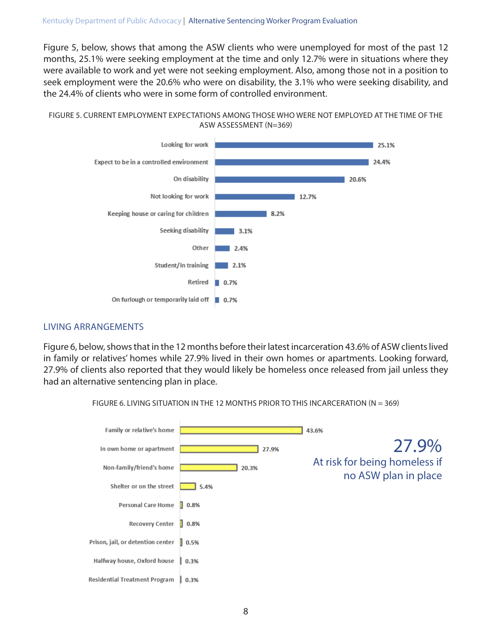Figure 5, below, shows that among the ASW clients who were unemployed for most of the past 12 months, 25.1% were seeking employment at the time and only 12.7% were in situations where they were available to work and yet were not seeking employment. Also, among those not in a position to seek employment were the 20.6% who were on disability, the 3.1% who were seeking disability, and the 24.4% of clients who were in some form of controlled environment.





#### LIVING ARRANGEMENTS

Figure 6, below, shows that in the 12 months before their latest incarceration 43.6% of ASW clients lived in family or relatives' homes while 27.9% lived in their own homes or apartments. Looking forward, 27.9% of clients also reported that they would likely be homeless once released from jail unless they had an alternative sentencing plan in place.



FIGURE 6. LIVING SITUATION IN THE 12 MONTHS PRIOR TO THIS INCARCERATION (N = 369)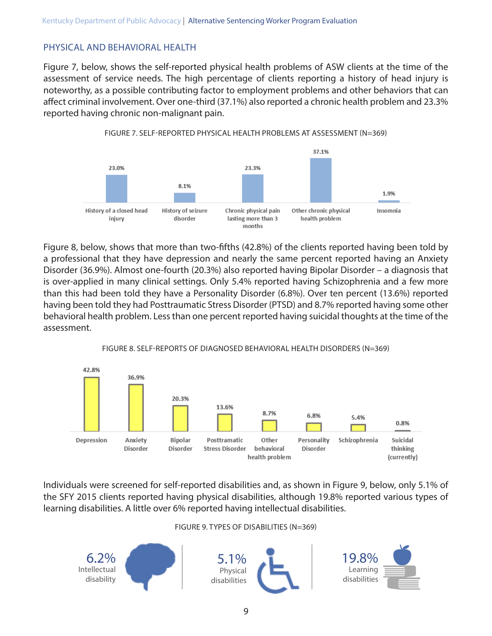#### PHYSICAL AND BEHAVIORAL HEALTH

Figure 7, below, shows the self-reported physical health problems of ASW clients at the time of the assessment of service needs. The high percentage of clients reporting a history of head injury is noteworthy, as a possible contributing factor to employment problems and other behaviors that can affect criminal involvement. Over one-third (37.1%) also reported a chronic health problem and 23.3% reported having chronic non-malignant pain.



FIGURE 7. SELF-REPORTED PHYSICAL HEALTH PROBLEMS AT ASSESSMENT (N=369)

Figure 8, below, shows that more than two-fifths (42.8%) of the clients reported having been told by a professional that they have depression and nearly the same percent reported having an Anxiety Disorder (36.9%). Almost one-fourth (20.3%) also reported having Bipolar Disorder – a diagnosis that is over-applied in many clinical settings. Only 5.4% reported having Schizophrenia and a few more than this had been told they have a Personality Disorder (6.8%). Over ten percent (13.6%) reported having been told they had Posttraumatic Stress Disorder (PTSD) and 8.7% reported having some other behavioral health problem. Less than one percent reported having suicidal thoughts at the time of the assessment.



#### FIGURE 8. SELF-REPORTS OF DIAGNOSED BEHAVIORAL HEALTH DISORDERS (N=369)

Individuals were screened for self-reported disabilities and, as shown in Figure 9, below, only 5.1% of the SFY 2015 clients reported having physical disabilities, although 19.8% reported various types of learning disabilities. A little over 6% reported having intellectual disabilities.

#### FIGURE 9. TYPES OF DISABILITIES (N=369)

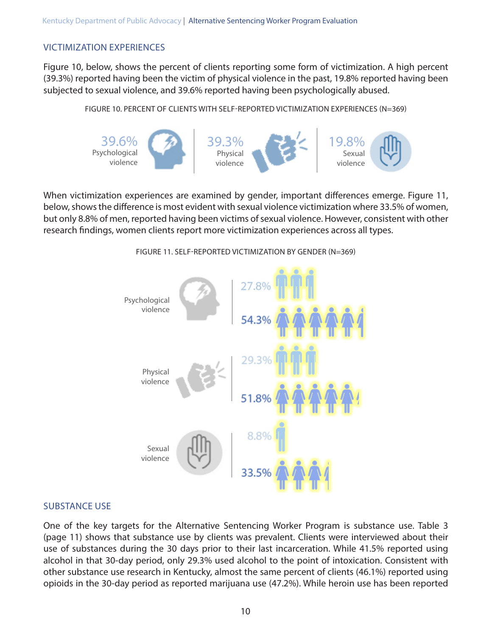#### VICTIMIZATION EXPERIENCES

Figure 10, below, shows the percent of clients reporting some form of victimization. A high percent (39.3%) reported having been the victim of physical violence in the past, 19.8% reported having been subjected to sexual violence, and 39.6% reported having been psychologically abused.

FIGURE 10. PERCENT OF CLIENTS WITH SELF-REPORTED VICTIMIZATION EXPERIENCES (N=369)



When victimization experiences are examined by gender, important differences emerge. Figure 11, below, shows the difference is most evident with sexual violence victimization where 33.5% of women, but only 8.8% of men, reported having been victims of sexual violence. However, consistent with other research findings, women clients report more victimization experiences across all types.



FIGURE 11. SELF-REPORTED VICTIMIZATION BY GENDER (N=369)

#### SUBSTANCE USE

One of the key targets for the Alternative Sentencing Worker Program is substance use. Table 3 (page 11) shows that substance use by clients was prevalent. Clients were interviewed about their use of substances during the 30 days prior to their last incarceration. While 41.5% reported using alcohol in that 30-day period, only 29.3% used alcohol to the point of intoxication. Consistent with other substance use research in Kentucky, almost the same percent of clients (46.1%) reported using opioids in the 30-day period as reported marijuana use (47.2%). While heroin use has been reported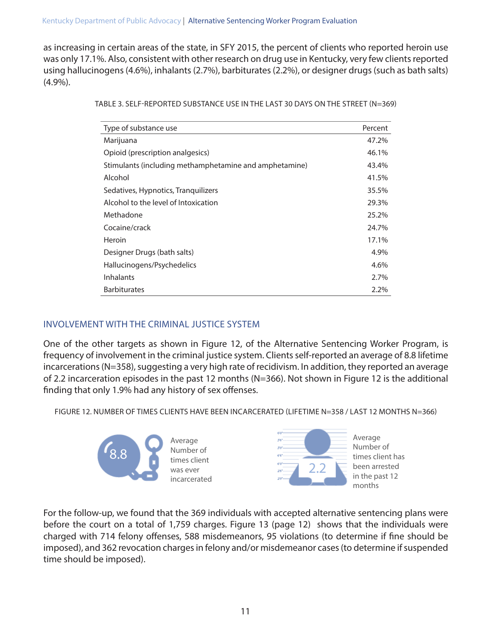as increasing in certain areas of the state, in SFY 2015, the percent of clients who reported heroin use was only 17.1%. Also, consistent with other research on drug use in Kentucky, very few clients reported using hallucinogens (4.6%), inhalants (2.7%), barbiturates (2.2%), or designer drugs (such as bath salts) (4.9%).

| TABLE 3. SELF-REPORTED SUBSTANCE USE IN THE LAST 30 DAYS ON THE STREET (N=369) |  |  |
|--------------------------------------------------------------------------------|--|--|
|                                                                                |  |  |

| Type of substance use                                  | Percent |
|--------------------------------------------------------|---------|
| Marijuana                                              | 47.2%   |
| Opioid (prescription analgesics)                       | 46.1%   |
| Stimulants (including methamphetamine and amphetamine) | 43.4%   |
| Alcohol                                                | 41.5%   |
| Sedatives, Hypnotics, Tranquilizers                    | 35.5%   |
| Alcohol to the level of Intoxication                   | 29.3%   |
| Methadone                                              | 25.2%   |
| Cocaine/crack                                          | 24.7%   |
| Heroin                                                 | 17.1%   |
| Designer Drugs (bath salts)                            | 4.9%    |
| Hallucinogens/Psychedelics                             | 4.6%    |
| <b>Inhalants</b>                                       | 2.7%    |
| <b>Barbiturates</b>                                    | 2.2%    |

### INVOLVEMENT WITH THE CRIMINAL JUSTICE SYSTEM

One of the other targets as shown in Figure 12, of the Alternative Sentencing Worker Program, is frequency of involvement in the criminal justice system. Clients self-reported an average of 8.8 lifetime incarcerations (N=358), suggesting a very high rate of recidivism. In addition, they reported an average of 2.2 incarceration episodes in the past 12 months (N=366). Not shown in Figure 12 is the additional finding that only 1.9% had any history of sex offenses.

FIGURE 12. NUMBER OF TIMES CLIENTS HAVE BEEN INCARCERATED (LIFETIME N=358 / LAST 12 MONTHS N=366)



For the follow-up, we found that the 369 individuals with accepted alternative sentencing plans were before the court on a total of 1,759 charges. Figure 13 (page 12) shows that the individuals were charged with 714 felony offenses, 588 misdemeanors, 95 violations (to determine if fine should be imposed), and 362 revocation charges in felony and/or misdemeanor cases (to determine if suspended time should be imposed).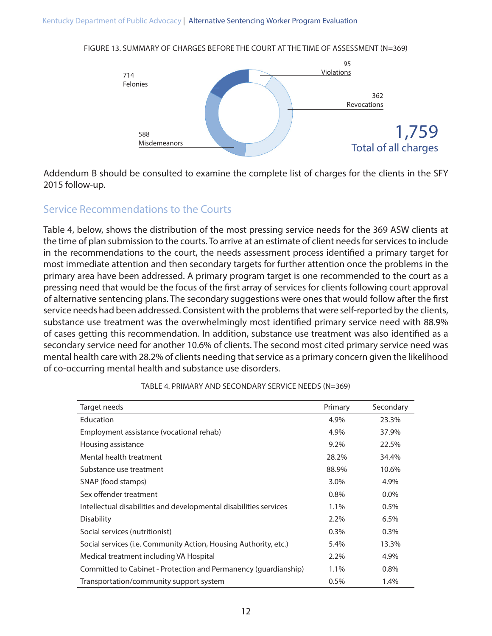FIGURE 13. SUMMARY OF CHARGES BEFORE THE COURT AT THE TIME OF ASSESSMENT (N=369)



Addendum B should be consulted to examine the complete list of charges for the clients in the SFY 2015 follow-up.

### Service Recommendations to the Courts

Table 4, below, shows the distribution of the most pressing service needs for the 369 ASW clients at the time of plan submission to the courts. To arrive at an estimate of client needs for services to include in the recommendations to the court, the needs assessment process identified a primary target for most immediate attention and then secondary targets for further attention once the problems in the primary area have been addressed. A primary program target is one recommended to the court as a pressing need that would be the focus of the first array of services for clients following court approval of alternative sentencing plans. The secondary suggestions were ones that would follow after the first service needs had been addressed. Consistent with the problems that were self-reported by the clients, substance use treatment was the overwhelmingly most identified primary service need with 88.9% of cases getting this recommendation. In addition, substance use treatment was also identified as a secondary service need for another 10.6% of clients. The second most cited primary service need was mental health care with 28.2% of clients needing that service as a primary concern given the likelihood of co-occurring mental health and substance use disorders.

| Target needs                                                      | Primary | Secondary |
|-------------------------------------------------------------------|---------|-----------|
| Education                                                         | 4.9%    | 23.3%     |
| Employment assistance (vocational rehab)                          | 4.9%    | 37.9%     |
| Housing assistance                                                | $9.2\%$ | 22.5%     |
| Mental health treatment                                           | 28.2%   | 34.4%     |
| Substance use treatment                                           | 88.9%   | 10.6%     |
| SNAP (food stamps)                                                | 3.0%    | 4.9%      |
| Sex offender treatment                                            | $0.8\%$ | $0.0\%$   |
| Intellectual disabilities and developmental disabilities services | 1.1%    | 0.5%      |
| <b>Disability</b>                                                 | $2.2\%$ | 6.5%      |
| Social services (nutritionist)                                    | 0.3%    | 0.3%      |
| Social services (i.e. Community Action, Housing Authority, etc.)  | 5.4%    | 13.3%     |
| Medical treatment including VA Hospital                           | $2.2\%$ | 4.9%      |
| Committed to Cabinet - Protection and Permanency (quardianship)   | 1.1%    | 0.8%      |
| Transportation/community support system                           | 0.5%    | 1.4%      |

TABLE 4. PRIMARY AND SECONDARY SERVICE NEEDS (N=369)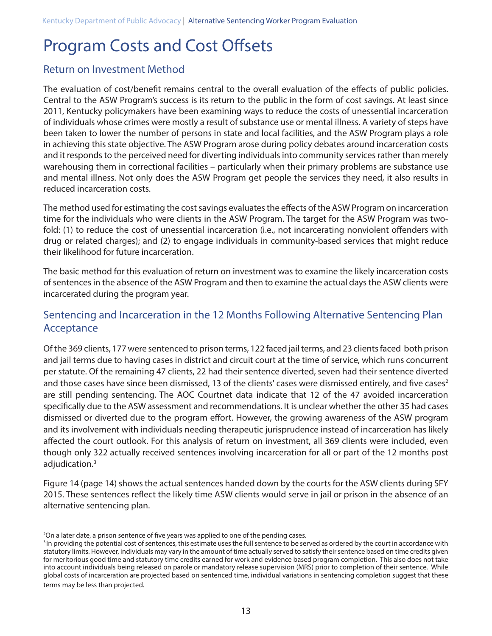## Program Costs and Cost Offsets

### Return on Investment Method

The evaluation of cost/benefit remains central to the overall evaluation of the effects of public policies. Central to the ASW Program's success is its return to the public in the form of cost savings. At least since 2011, Kentucky policymakers have been examining ways to reduce the costs of unessential incarceration of individuals whose crimes were mostly a result of substance use or mental illness. A variety of steps have been taken to lower the number of persons in state and local facilities, and the ASW Program plays a role in achieving this state objective. The ASW Program arose during policy debates around incarceration costs and it responds to the perceived need for diverting individuals into community services rather than merely warehousing them in correctional facilities – particularly when their primary problems are substance use and mental illness. Not only does the ASW Program get people the services they need, it also results in reduced incarceration costs.

The method used for estimating the cost savings evaluates the effects of the ASW Program on incarceration time for the individuals who were clients in the ASW Program. The target for the ASW Program was twofold: (1) to reduce the cost of unessential incarceration (i.e., not incarcerating nonviolent offenders with drug or related charges); and (2) to engage individuals in community-based services that might reduce their likelihood for future incarceration.

The basic method for this evaluation of return on investment was to examine the likely incarceration costs of sentences in the absence of the ASW Program and then to examine the actual days the ASW clients were incarcerated during the program year.

## Sentencing and Incarceration in the 12 Months Following Alternative Sentencing Plan Acceptance

Of the 369 clients, 177 were sentenced to prison terms, 122 faced jail terms, and 23 clients faced both prison and jail terms due to having cases in district and circuit court at the time of service, which runs concurrent per statute. Of the remaining 47 clients, 22 had their sentence diverted, seven had their sentence diverted and those cases have since been dismissed, 13 of the clients' cases were dismissed entirely, and five cases<sup>2</sup> are still pending sentencing. The AOC Courtnet data indicate that 12 of the 47 avoided incarceration specifically due to the ASW assessment and recommendations. It is unclear whether the other 35 had cases dismissed or diverted due to the program effort. However, the growing awareness of the ASW program and its involvement with individuals needing therapeutic jurisprudence instead of incarceration has likely affected the court outlook. For this analysis of return on investment, all 369 clients were included, even though only 322 actually received sentences involving incarceration for all or part of the 12 months post adjudication.3

Figure 14 (page 14) shows the actual sentences handed down by the courts for the ASW clients during SFY 2015. These sentences reflect the likely time ASW clients would serve in jail or prison in the absence of an alternative sentencing plan.

<sup>2</sup> On a later date, a prison sentence of five years was applied to one of the pending cases.

<sup>&</sup>lt;sup>3</sup> In providing the potential cost of sentences, this estimate uses the full sentence to be served as ordered by the court in accordance with statutory limits. However, individuals may vary in the amount of time actually served to satisfy their sentence based on time credits given for meritorious good time and statutory time credits earned for work and evidence based program completion. This also does not take into account individuals being released on parole or mandatory release supervision (MRS) prior to completion of their sentence. While global costs of incarceration are projected based on sentenced time, individual variations in sentencing completion suggest that these terms may be less than projected.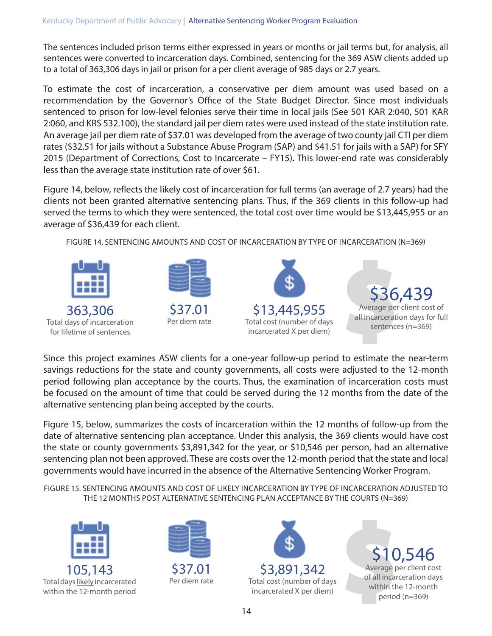The sentences included prison terms either expressed in years or months or jail terms but, for analysis, all sentences were converted to incarceration days. Combined, sentencing for the 369 ASW clients added up to a total of 363,306 days in jail or prison for a per client average of 985 days or 2.7 years.

To estimate the cost of incarceration, a conservative per diem amount was used based on a recommendation by the Governor's Office of the State Budget Director. Since most individuals sentenced to prison for low-level felonies serve their time in local jails (See 501 KAR 2:040, 501 KAR 2:060, and KRS 532.100), the standard jail per diem rates were used instead of the state institution rate. An average jail per diem rate of \$37.01 was developed from the average of two county jail CTI per diem rates (\$32.51 for jails without a Substance Abuse Program (SAP) and \$41.51 for jails with a SAP) for SFY 2015 (Department of Corrections, Cost to Incarcerate – FY15). This lower-end rate was considerably less than the average state institution rate of over \$61.

Figure 14, below, reflects the likely cost of incarceration for full terms (an average of 2.7 years) had the clients not been granted alternative sentencing plans. Thus, if the 369 clients in this follow-up had served the terms to which they were sentenced, the total cost over time would be \$13,445,955 or an average of \$36,439 for each client.

FIGURE 14. SENTENCING AMOUNTS AND COST OF INCARCERATION BY TYPE OF INCARCERATION (N=369)



Since this project examines ASW clients for a one-year follow-up period to estimate the near-term savings reductions for the state and county governments, all costs were adjusted to the 12-month period following plan acceptance by the courts. Thus, the examination of incarceration costs must be focused on the amount of time that could be served during the 12 months from the date of the alternative sentencing plan being accepted by the courts.

Figure 15, below, summarizes the costs of incarceration within the 12 months of follow-up from the date of alternative sentencing plan acceptance. Under this analysis, the 369 clients would have cost the state or county governments \$3,891,342 for the year, or \$10,546 per person, had an alternative sentencing plan not been approved. These are costs over the 12-month period that the state and local governments would have incurred in the absence of the Alternative Sentencing Worker Program.

FIGURE 15. SENTENCING AMOUNTS AND COST OF LIKELY INCARCERATION BY TYPE OF INCARCERATION ADJUSTED TO THE 12 MONTHS POST ALTERNATIVE SENTENCING PLAN ACCEPTANCE BY THE COURTS (N=369)



Total days likely incarcerated within the 12-month period



\$3,891,342 Total cost (number of days incarcerated X per diem)

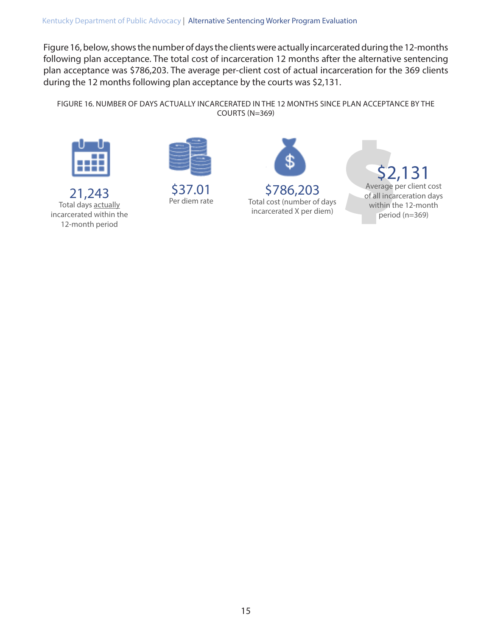Figure 16, below, shows the number of days the clients were actually incarcerated during the 12-months following plan acceptance. The total cost of incarceration 12 months after the alternative sentencing plan acceptance was \$786,203. The average per-client cost of actual incarceration for the 369 clients during the 12 months following plan acceptance by the courts was \$2,131.

FIGURE 16. NUMBER OF DAYS ACTUALLY INCARCERATED IN THE 12 MONTHS SINCE PLAN ACCEPTANCE BY THE COURTS (N=369)



21,243 Total days actually incarcerated within the 12-month period



\$37.01 Per diem rate



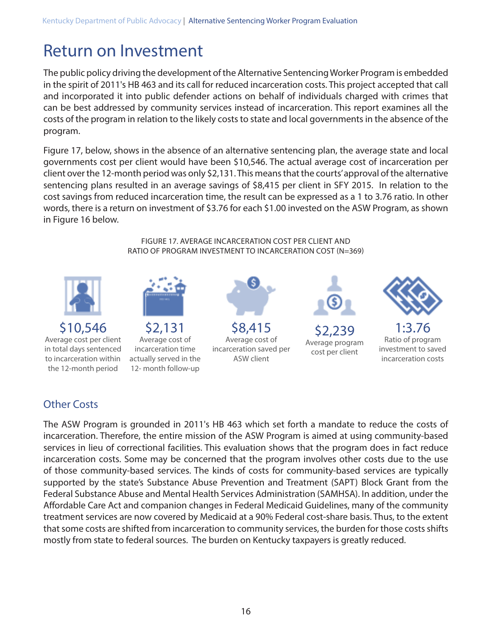## Return on Investment

The public policy driving the development of the Alternative Sentencing Worker Program is embedded in the spirit of 2011's HB 463 and its call for reduced incarceration costs. This project accepted that call and incorporated it into public defender actions on behalf of individuals charged with crimes that can be best addressed by community services instead of incarceration. This report examines all the costs of the program in relation to the likely costs to state and local governments in the absence of the program.

Figure 17, below, shows in the absence of an alternative sentencing plan, the average state and local governments cost per client would have been \$10,546. The actual average cost of incarceration per client over the 12-month period was only \$2,131. This means that the courts' approval of the alternative sentencing plans resulted in an average savings of \$8,415 per client in SFY 2015. In relation to the cost savings from reduced incarceration time, the result can be expressed as a 1 to 3.76 ratio. In other words, there is a return on investment of \$3.76 for each \$1.00 invested on the ASW Program, as shown in Figure 16 below.

> FIGURE 17. AVERAGE INCARCERATION COST PER CLIENT AND RATIO OF PROGRAM INVESTMENT TO INCARCERATION COST (N=369)



## Other Costs

The ASW Program is grounded in 2011's HB 463 which set forth a mandate to reduce the costs of incarceration. Therefore, the entire mission of the ASW Program is aimed at using community-based services in lieu of correctional facilities. This evaluation shows that the program does in fact reduce incarceration costs. Some may be concerned that the program involves other costs due to the use of those community-based services. The kinds of costs for community-based services are typically supported by the state's Substance Abuse Prevention and Treatment (SAPT) Block Grant from the Federal Substance Abuse and Mental Health Services Administration (SAMHSA). In addition, under the Affordable Care Act and companion changes in Federal Medicaid Guidelines, many of the community treatment services are now covered by Medicaid at a 90% Federal cost-share basis. Thus, to the extent that some costs are shifted from incarceration to community services, the burden for those costs shifts mostly from state to federal sources. The burden on Kentucky taxpayers is greatly reduced.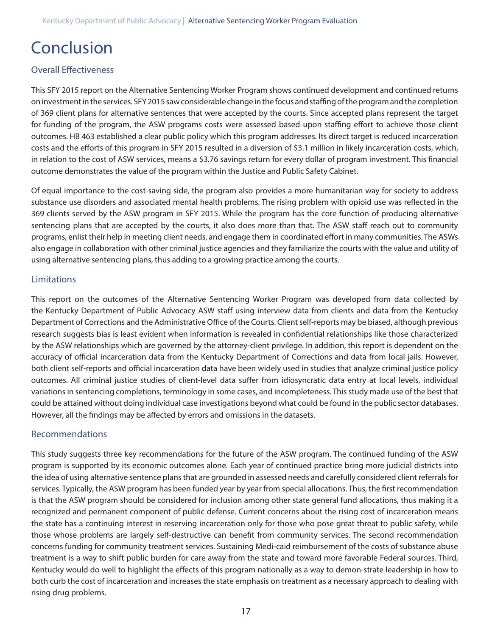## Conclusion

#### Overall Effectiveness

This SFY 2015 report on the Alternative Sentencing Worker Program shows continued development and continued returns on investment in the services. SFY 2015 saw considerable change in the focus and staffing of the program and the completion of 369 client plans for alternative sentences that were accepted by the courts. Since accepted plans represent the target for funding of the program, the ASW programs costs were assessed based upon staffing effort to achieve those client outcomes. HB 463 established a clear public policy which this program addresses. Its direct target is reduced incarceration costs and the efforts of this program in SFY 2015 resulted in a diversion of \$3.1 million in likely incarceration costs, which, in relation to the cost of ASW services, means a \$3.76 savings return for every dollar of program investment. This financial outcome demonstrates the value of the program within the Justice and Public Safety Cabinet.

Of equal importance to the cost-saving side, the program also provides a more humanitarian way for society to address substance use disorders and associated mental health problems. The rising problem with opioid use was reflected in the 369 clients served by the ASW program in SFY 2015. While the program has the core function of producing alternative sentencing plans that are accepted by the courts, it also does more than that. The ASW staff reach out to community programs, enlist their help in meeting client needs, and engage them in coordinated effort in many communities. The ASWs also engage in collaboration with other criminal justice agencies and they familiarize the courts with the value and utility of using alternative sentencing plans, thus adding to a growing practice among the courts.

#### Limitations

This report on the outcomes of the Alternative Sentencing Worker Program was developed from data collected by the Kentucky Department of Public Advocacy ASW staff using interview data from clients and data from the Kentucky Department of Corrections and the Administrative Office of the Courts. Client self-reports may be biased, although previous research suggests bias is least evident when information is revealed in confidential relationships like those characterized by the ASW relationships which are governed by the attorney-client privilege. In addition, this report is dependent on the accuracy of official incarceration data from the Kentucky Department of Corrections and data from local jails. However, both client self-reports and official incarceration data have been widely used in studies that analyze criminal justice policy outcomes. All criminal justice studies of client-level data suffer from idiosyncratic data entry at local levels, individual variations in sentencing completions, terminology in some cases, and incompleteness. This study made use of the best that could be attained without doing individual case investigations beyond what could be found in the public sector databases. However, all the findings may be affected by errors and omissions in the datasets.

#### Recommendations

This study suggests three key recommendations for the future of the ASW program. The continued funding of the ASW program is supported by its economic outcomes alone. Each year of continued practice bring more judicial districts into the idea of using alternative sentence plans that are grounded in assessed needs and carefully considered client referrals for services. Typically, the ASW program has been funded year by year from special allocations. Thus, the first recommendation is that the ASW program should be considered for inclusion among other state general fund allocations, thus making it a recognized and permanent component of public defense. Current concerns about the rising cost of incarceration means the state has a continuing interest in reserving incarceration only for those who pose great threat to public safety, while those whose problems are largely self-destructive can benefit from community services. The second recommendation concerns funding for community treatment services. Sustaining Medi-caid reimbursement of the costs of substance abuse treatment is a way to shift public burden for care away from the state and toward more favorable Federal sources. Third, Kentucky would do well to highlight the effects of this program nationally as a way to demon-strate leadership in how to both curb the cost of incarceration and increases the state emphasis on treatment as a necessary approach to dealing with rising drug problems.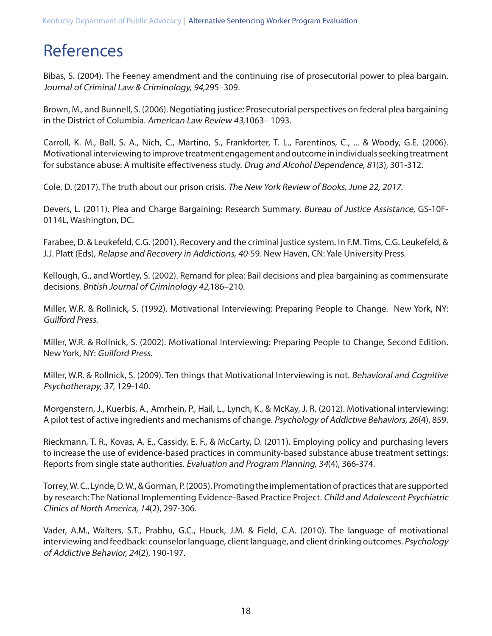## References

Bibas, S. (2004). The Feeney amendment and the continuing rise of prosecutorial power to plea bargain. Journal of Criminal Law & Criminology, 94,295–309.

Brown, M., and Bunnell, S. (2006). Negotiating justice: Prosecutorial perspectives on federal plea bargaining in the District of Columbia. American Law Review 43,1063– 1093.

Carroll, K. M., Ball, S. A., Nich, C., Martino, S., Frankforter, T. L., Farentinos, C., ... & Woody, G.E. (2006). Motivational interviewing to improve treatment engagement and outcome in individuals seeking treatment for substance abuse: A multisite effectiveness study. Drug and Alcohol Dependence, 81(3), 301-312.

Cole, D. (2017). The truth about our prison crisis. The New York Review of Books, June 22, 2017.

Devers, L. (2011). Plea and Charge Bargaining: Research Summary. Bureau of Justice Assistance, GS-10F-0114L, Washington, DC.

Farabee, D. & Leukefeld, C.G. (2001). Recovery and the criminal justice system. In F.M. Tims, C.G. Leukefeld, & J.J. Platt (Eds), Relapse and Recovery in Addictions, 40-59. New Haven, CN: Yale University Press.

Kellough, G., and Wortley, S. (2002). Remand for plea: Bail decisions and plea bargaining as commensurate decisions. British Journal of Criminology 42,186–210.

Miller, W.R. & Rollnick, S. (1992). Motivational Interviewing: Preparing People to Change. New York, NY: Guilford Press.

Miller, W.R. & Rollnick, S. (2002). Motivational Interviewing: Preparing People to Change, Second Edition. New York, NY: Guilford Press.

Miller, W.R. & Rollnick, S. (2009). Ten things that Motivational Interviewing is not. Behavioral and Cognitive Psychotherapy, 37, 129-140.

Morgenstern, J., Kuerbis, A., Amrhein, P., Hail, L., Lynch, K., & McKay, J. R. (2012). Motivational interviewing: A pilot test of active ingredients and mechanisms of change. Psychology of Addictive Behaviors, 26(4), 859.

Rieckmann, T. R., Kovas, A. E., Cassidy, E. F., & McCarty, D. (2011). Employing policy and purchasing levers to increase the use of evidence-based practices in community-based substance abuse treatment settings: Reports from single state authorities. Evaluation and Program Planning, 34(4), 366-374.

Torrey, W. C., Lynde, D. W., & Gorman, P. (2005). Promoting the implementation of practices that are supported by research: The National Implementing Evidence-Based Practice Project. Child and Adolescent Psychiatric Clinics of North America, 14(2), 297-306.

Vader, A.M., Walters, S.T., Prabhu, G.C., Houck, J.M. & Field, C.A. (2010). The language of motivational interviewing and feedback: counselor language, client language, and client drinking outcomes. Psychology of Addictive Behavior, 24(2), 190-197.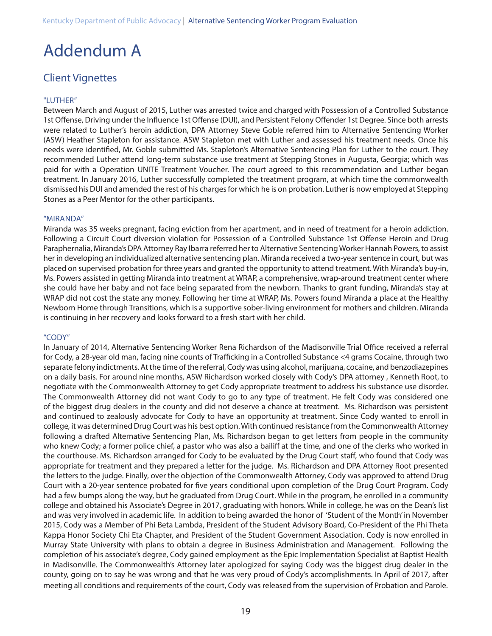## Addendum A

### Client Vignettes

#### "LUTHER"

Between March and August of 2015, Luther was arrested twice and charged with Possession of a Controlled Substance 1st Offense, Driving under the Influence 1st Offense (DUI), and Persistent Felony Offender 1st Degree. Since both arrests were related to Luther's heroin addiction, DPA Attorney Steve Goble referred him to Alternative Sentencing Worker (ASW) Heather Stapleton for assistance. ASW Stapleton met with Luther and assessed his treatment needs. Once his needs were identified, Mr. Goble submitted Ms. Stapleton's Alternative Sentencing Plan for Luther to the court. They recommended Luther attend long-term substance use treatment at Stepping Stones in Augusta, Georgia; which was paid for with a Operation UNITE Treatment Voucher. The court agreed to this recommendation and Luther began treatment. In January 2016, Luther successfully completed the treatment program, at which time the commonwealth dismissed his DUI and amended the rest of his charges for which he is on probation. Luther is now employed at Stepping Stones as a Peer Mentor for the other participants.

#### "MIRANDA"

Miranda was 35 weeks pregnant, facing eviction from her apartment, and in need of treatment for a heroin addiction. Following a Circuit Court diversion violation for Possession of a Controlled Substance 1st Offense Heroin and Drug Paraphernalia, Miranda's DPA Attorney Ray Ibarra referred her to Alternative Sentencing Worker Hannah Powers, to assist her in developing an individualized alternative sentencing plan. Miranda received a two-year sentence in court, but was placed on supervised probation for three years and granted the opportunity to attend treatment. With Miranda's buy-in, Ms. Powers assisted in getting Miranda into treatment at WRAP, a comprehensive, wrap-around treatment center where she could have her baby and not face being separated from the newborn. Thanks to grant funding, Miranda's stay at WRAP did not cost the state any money. Following her time at WRAP, Ms. Powers found Miranda a place at the Healthy Newborn Home through Transitions, which is a supportive sober-living environment for mothers and children. Miranda is continuing in her recovery and looks forward to a fresh start with her child.

#### "CODY"

In January of 2014, Alternative Sentencing Worker Rena Richardson of the Madisonville Trial Office received a referral for Cody, a 28-year old man, facing nine counts of Trafficking in a Controlled Substance <4 grams Cocaine, through two separate felony indictments. At the time of the referral, Cody was using alcohol, marijuana, cocaine, and benzodiazepines on a daily basis. For around nine months, ASW Richardson worked closely with Cody's DPA attorney , Kenneth Root, to negotiate with the Commonwealth Attorney to get Cody appropriate treatment to address his substance use disorder. The Commonwealth Attorney did not want Cody to go to any type of treatment. He felt Cody was considered one of the biggest drug dealers in the county and did not deserve a chance at treatment. Ms. Richardson was persistent and continued to zealously advocate for Cody to have an opportunity at treatment. Since Cody wanted to enroll in college, it was determined Drug Court was his best option. With continued resistance from the Commonwealth Attorney following a drafted Alternative Sentencing Plan, Ms. Richardson began to get letters from people in the community who knew Cody; a former police chief, a pastor who was also a bailiff at the time, and one of the clerks who worked in the courthouse. Ms. Richardson arranged for Cody to be evaluated by the Drug Court staff, who found that Cody was appropriate for treatment and they prepared a letter for the judge. Ms. Richardson and DPA Attorney Root presented the letters to the judge. Finally, over the objection of the Commonwealth Attorney, Cody was approved to attend Drug Court with a 20-year sentence probated for five years conditional upon completion of the Drug Court Program. Cody had a few bumps along the way, but he graduated from Drug Court. While in the program, he enrolled in a community college and obtained his Associate's Degree in 2017, graduating with honors. While in college, he was on the Dean's list and was very involved in academic life. In addition to being awarded the honor of 'Student of the Month' in November 2015, Cody was a Member of Phi Beta Lambda, President of the Student Advisory Board, Co-President of the Phi Theta Kappa Honor Society Chi Eta Chapter, and President of the Student Government Association. Cody is now enrolled in Murray State University with plans to obtain a degree in Business Administration and Management. Following the completion of his associate's degree, Cody gained employment as the Epic Implementation Specialist at Baptist Health in Madisonville. The Commonwealth's Attorney later apologized for saying Cody was the biggest drug dealer in the county, going on to say he was wrong and that he was very proud of Cody's accomplishments. In April of 2017, after meeting all conditions and requirements of the court, Cody was released from the supervision of Probation and Parole.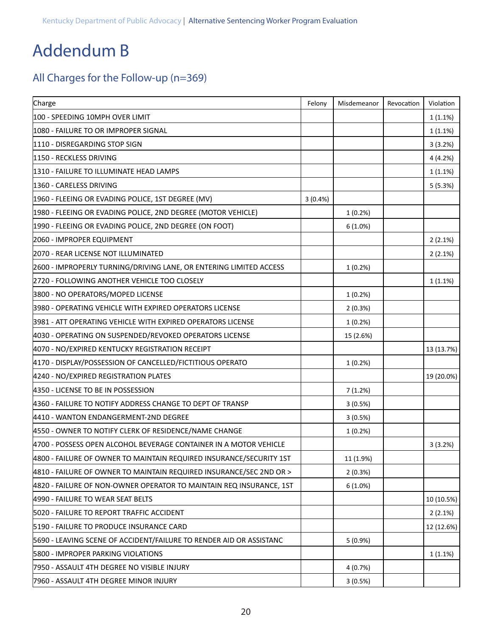## Addendum B

## All Charges for the Follow-up (n=369)

| Charge                                                              | Felony  | Misdemeanor | Revocation | Violation  |
|---------------------------------------------------------------------|---------|-------------|------------|------------|
| 100 - SPEEDING 10MPH OVER LIMIT                                     |         |             |            | 1(1.1%)    |
| 1080 - FAILURE TO OR IMPROPER SIGNAL                                |         |             |            | 1(1.1%)    |
| 1110 - DISREGARDING STOP SIGN                                       |         |             |            | 3(3.2%)    |
| 1150 - RECKLESS DRIVING                                             |         |             |            | 4(4.2%)    |
| 1310 - FAILURE TO ILLUMINATE HEAD LAMPS                             |         |             |            | 1(1.1%)    |
| 1360 - CARELESS DRIVING                                             |         |             |            | 5(5.3%)    |
| 1960 - FLEEING OR EVADING POLICE, 1ST DEGREE (MV)                   | 3(0.4%) |             |            |            |
| 1980 - FLEEING OR EVADING POLICE, 2ND DEGREE (MOTOR VEHICLE)        |         | 1(0.2%)     |            |            |
| 1990 - FLEEING OR EVADING POLICE, 2ND DEGREE (ON FOOT)              |         | 6(1.0%)     |            |            |
| 2060 - IMPROPER EQUIPMENT                                           |         |             |            | 2(2.1%)    |
| 2070 - REAR LICENSE NOT ILLUMINATED                                 |         |             |            | 2(2.1%)    |
| 2600 - IMPROPERLY TURNING/DRIVING LANE, OR ENTERING LIMITED ACCESS  |         | 1(0.2%)     |            |            |
| 2720 - FOLLOWING ANOTHER VEHICLE TOO CLOSELY                        |         |             |            | 1(1.1%)    |
| 3800 - NO OPERATORS/MOPED LICENSE                                   |         | 1(0.2%)     |            |            |
| 3980 - OPERATING VEHICLE WITH EXPIRED OPERATORS LICENSE             |         | 2(0.3%)     |            |            |
| 3981 - ATT OPERATING VEHICLE WITH EXPIRED OPERATORS LICENSE         |         | 1(0.2%)     |            |            |
| 4030 - OPERATING ON SUSPENDED/REVOKED OPERATORS LICENSE             |         | 15 (2.6%)   |            |            |
| 4070 - NO/EXPIRED KENTUCKY REGISTRATION RECEIPT                     |         |             |            | 13 (13.7%) |
| 4170 - DISPLAY/POSSESSION OF CANCELLED/FICTITIOUS OPERATO           |         | 1(0.2%)     |            |            |
| 4240 - NO/EXPIRED REGISTRATION PLATES                               |         |             |            | 19 (20.0%) |
| 4350 - LICENSE TO BE IN POSSESSION                                  |         | 7(1.2%)     |            |            |
| 4360 - FAILURE TO NOTIFY ADDRESS CHANGE TO DEPT OF TRANSP           |         | 3(0.5%)     |            |            |
| 4410 - WANTON ENDANGERMENT-2ND DEGREE                               |         | 3(0.5%)     |            |            |
| 4550 - OWNER TO NOTIFY CLERK OF RESIDENCE/NAME CHANGE               |         | 1(0.2%)     |            |            |
| 4700 - POSSESS OPEN ALCOHOL BEVERAGE CONTAINER IN A MOTOR VEHICLE   |         |             |            | 3(3.2%)    |
| 4800 - FAILURE OF OWNER TO MAINTAIN REQUIRED INSURANCE/SECURITY 1ST |         | 11 (1.9%)   |            |            |
| 4810 - FAILURE OF OWNER TO MAINTAIN REQUIRED INSURANCE/SEC 2ND OR > |         | 2(0.3%)     |            |            |
| 4820 - FAILURE OF NON-OWNER OPERATOR TO MAINTAIN REQ INSURANCE, 1ST |         | 6(1.0%)     |            |            |
| 4990 - FAILURE TO WEAR SEAT BELTS                                   |         |             |            | 10 (10.5%) |
| 5020 - FAILURE TO REPORT TRAFFIC ACCIDENT                           |         |             |            | 2(2.1%)    |
| 5190 - FAILURE TO PRODUCE INSURANCE CARD                            |         |             |            | 12 (12.6%) |
| 5690 - LEAVING SCENE OF ACCIDENT/FAILURE TO RENDER AID OR ASSISTANC |         | 5(0.9%)     |            |            |
| 5800 - IMPROPER PARKING VIOLATIONS                                  |         |             |            | 1(1.1%)    |
| 7950 - ASSAULT 4TH DEGREE NO VISIBLE INJURY                         |         | 4(0.7%)     |            |            |
| 7960 - ASSAULT 4TH DEGREE MINOR INJURY                              |         | 3(0.5%)     |            |            |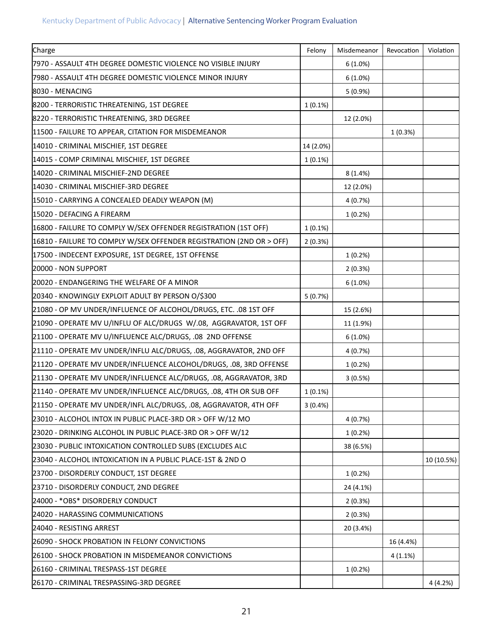| Charge                                                               | Felony     | Misdemeanor | Revocation | Violation  |
|----------------------------------------------------------------------|------------|-------------|------------|------------|
| 7970 - ASSAULT 4TH DEGREE DOMESTIC VIOLENCE NO VISIBLE INJURY        |            | 6(1.0%)     |            |            |
| 7980 - ASSAULT 4TH DEGREE DOMESTIC VIOLENCE MINOR INJURY             |            | 6(1.0%)     |            |            |
| 8030 - MENACING                                                      |            | 5(0.9%)     |            |            |
| 8200 - TERRORISTIC THREATENING, 1ST DEGREE                           | $1(0.1\%)$ |             |            |            |
| 8220 - TERRORISTIC THREATENING, 3RD DEGREE                           |            | 12 (2.0%)   |            |            |
| 11500 - FAILURE TO APPEAR, CITATION FOR MISDEMEANOR                  |            |             | 1(0.3%)    |            |
| 14010 - CRIMINAL MISCHIEF, 1ST DEGREE                                | 14 (2.0%)  |             |            |            |
| 14015 - COMP CRIMINAL MISCHIEF, 1ST DEGREE                           | 1(0.1%)    |             |            |            |
| 14020 - CRIMINAL MISCHIEF-2ND DEGREE                                 |            | 8(1.4%)     |            |            |
| 14030 - CRIMINAL MISCHIEF-3RD DEGREE                                 |            | 12 (2.0%)   |            |            |
| 15010 - CARRYING A CONCEALED DEADLY WEAPON (M)                       |            | 4(0.7%)     |            |            |
| 15020 - DEFACING A FIREARM                                           |            | 1(0.2%)     |            |            |
| 16800 - FAILURE TO COMPLY W/SEX OFFENDER REGISTRATION (1ST OFF)      | $1(0.1\%)$ |             |            |            |
| 16810 - FAILURE TO COMPLY W/SEX OFFENDER REGISTRATION (2ND OR > OFF) | 2(0.3%)    |             |            |            |
| 17500 - INDECENT EXPOSURE, 1ST DEGREE, 1ST OFFENSE                   |            | 1(0.2%)     |            |            |
| 20000 - NON SUPPORT                                                  |            | 2(0.3%)     |            |            |
| 20020 - ENDANGERING THE WELFARE OF A MINOR                           |            | 6(1.0%)     |            |            |
| 20340 - KNOWINGLY EXPLOIT ADULT BY PERSON O/\$300                    | 5(0.7%)    |             |            |            |
| 21080 - OP MV UNDER/INFLUENCE OF ALCOHOL/DRUGS, ETC. . 08 1ST OFF    |            | 15 (2.6%)   |            |            |
| 21090 - OPERATE MV U/INFLU OF ALC/DRUGS W/.08, AGGRAVATOR, 1ST OFF   |            | 11 (1.9%)   |            |            |
| 21100 - OPERATE MV U/INFLUENCE ALC/DRUGS, .08 2ND OFFENSE            |            | 6(1.0%)     |            |            |
| 21110 - OPERATE MV UNDER/INFLU ALC/DRUGS, .08, AGGRAVATOR, 2ND OFF   |            | 4(0.7%)     |            |            |
| 21120 - OPERATE MV UNDER/INFLUENCE ALCOHOL/DRUGS, .08, 3RD OFFENSE   |            | 1(0.2%)     |            |            |
| 21130 - OPERATE MV UNDER/INFLUENCE ALC/DRUGS, .08, AGGRAVATOR, 3RD   |            | 3(0.5%)     |            |            |
| 21140 - OPERATE MV UNDER/INFLUENCE ALC/DRUGS, .08, 4TH OR SUB OFF    | 1(0.1%)    |             |            |            |
| 21150 - OPERATE MV UNDER/INFL ALC/DRUGS, .08, AGGRAVATOR, 4TH OFF    | 3(0.4%)    |             |            |            |
| 23010 - ALCOHOL INTOX IN PUBLIC PLACE-3RD OR > OFF W/12 MO           |            | 4(0.7%)     |            |            |
| 23020 - DRINKING ALCOHOL IN PUBLIC PLACE-3RD OR > OFF W/12           |            | 1(0.2%)     |            |            |
| 23030 - PUBLIC INTOXICATION CONTROLLED SUBS (EXCLUDES ALC            |            | 38 (6.5%)   |            |            |
| 23040 - ALCOHOL INTOXICATION IN A PUBLIC PLACE-1ST & 2ND O           |            |             |            | 10 (10.5%) |
| 23700 - DISORDERLY CONDUCT, 1ST DEGREE                               |            | $1(0.2\%)$  |            |            |
| 23710 - DISORDERLY CONDUCT, 2ND DEGREE                               |            | 24 (4.1%)   |            |            |
| 24000 - *OBS* DISORDERLY CONDUCT                                     |            | 2(0.3%)     |            |            |
| 24020 - HARASSING COMMUNICATIONS                                     |            | 2(0.3%)     |            |            |
| 24040 - RESISTING ARREST                                             |            | 20 (3.4%)   |            |            |
| 26090 - SHOCK PROBATION IN FELONY CONVICTIONS                        |            |             | 16 (4.4%)  |            |
| 26100 - SHOCK PROBATION IN MISDEMEANOR CONVICTIONS                   |            |             | $4(1.1\%)$ |            |
| 26160 - CRIMINAL TRESPASS-1ST DEGREE                                 |            | 1(0.2%)     |            |            |
| 26170 - CRIMINAL TRESPASSING-3RD DEGREE                              |            |             |            | 4 (4.2%)   |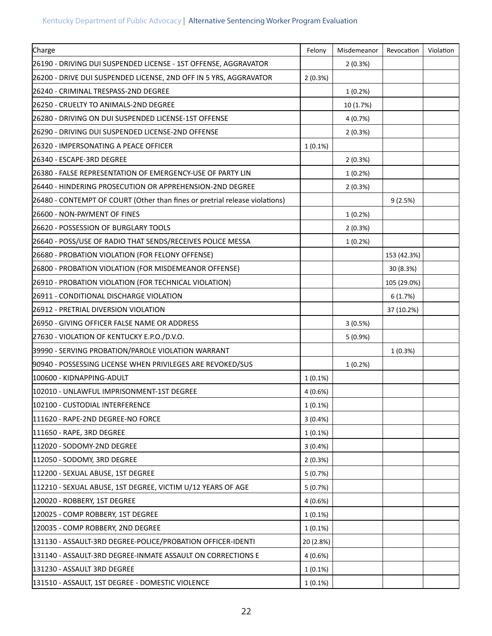| Charge                                                                      | Felony     | Misdemeanor | Revocation  | Violation |
|-----------------------------------------------------------------------------|------------|-------------|-------------|-----------|
| 26190 - DRIVING DUI SUSPENDED LICENSE - 1ST OFFENSE, AGGRAVATOR             |            | 2(0.3%)     |             |           |
| 26200 - DRIVE DUI SUSPENDED LICENSE, 2ND OFF IN 5 YRS, AGGRAVATOR           | 2(0.3%)    |             |             |           |
| 26240 - CRIMINAL TRESPASS-2ND DEGREE                                        |            | 1(0.2%)     |             |           |
| 26250 - CRUELTY TO ANIMALS-2ND DEGREE                                       |            | 10 (1.7%)   |             |           |
| 26280 - DRIVING ON DUI SUSPENDED LICENSE-1ST OFFENSE                        |            | 4(0.7%)     |             |           |
| 26290 - DRIVING DUI SUSPENDED LICENSE-2ND OFFENSE                           |            | 2(0.3%)     |             |           |
| 26320 - IMPERSONATING A PEACE OFFICER                                       | $1(0.1\%)$ |             |             |           |
| 26340 - ESCAPE-3RD DEGREE                                                   |            | 2(0.3%)     |             |           |
| 26380 - FALSE REPRESENTATION OF EMERGENCY-USE OF PARTY LIN                  |            | 1(0.2%)     |             |           |
| 26440 - HINDERING PROSECUTION OR APPREHENSION-2ND DEGREE                    |            | 2(0.3%)     |             |           |
| 26480 - CONTEMPT OF COURT (Other than fines or pretrial release violations) |            |             | 9(2.5%)     |           |
| 26600 - NON-PAYMENT OF FINES                                                |            | 1(0.2%)     |             |           |
| 26620 - POSSESSION OF BURGLARY TOOLS                                        |            | 2(0.3%)     |             |           |
| 26640 - POSS/USE OF RADIO THAT SENDS/RECEIVES POLICE MESSA                  |            | 1(0.2%)     |             |           |
| 26680 - PROBATION VIOLATION (FOR FELONY OFFENSE)                            |            |             | 153 (42.3%) |           |
| 26800 - PROBATION VIOLATION (FOR MISDEMEANOR OFFENSE)                       |            |             | 30 (8.3%)   |           |
| 26910 - PROBATION VIOLATION (FOR TECHNICAL VIOLATION)                       |            |             | 105 (29.0%) |           |
| 26911 - CONDITIONAL DISCHARGE VIOLATION                                     |            |             | 6(1.7%)     |           |
| 26912 - PRETRIAL DIVERSION VIOLATION                                        |            |             | 37 (10.2%)  |           |
| 26950 - GIVING OFFICER FALSE NAME OR ADDRESS                                |            | 3(0.5%)     |             |           |
| 27630 - VIOLATION OF KENTUCKY E.P.O./D.V.O.                                 |            | 5 (0.9%)    |             |           |
| 39990 - SERVING PROBATION/PAROLE VIOLATION WARRANT                          |            |             | 1(0.3%)     |           |
| 90940 - POSSESSING LICENSE WHEN PRIVILEGES ARE REVOKED/SUS                  |            | 1(0.2%)     |             |           |
| 100600 - KIDNAPPING-ADULT                                                   | $1(0.1\%)$ |             |             |           |
| 102010 - UNLAWFUL IMPRISONMENT-1ST DEGREE                                   | 4(0.6%)    |             |             |           |
| 102100 - CUSTODIAL INTERFERENCE                                             | $1(0.1\%)$ |             |             |           |
| 111620 - RAPE-2ND DEGREE-NO FORCE                                           | 3(0.4%)    |             |             |           |
| 111650 - RAPE, 3RD DEGREE                                                   | 1(0.1%)    |             |             |           |
| 112020 - SODOMY-2ND DEGREE                                                  | 3(0.4%)    |             |             |           |
| 112050 - SODOMY, 3RD DEGREE                                                 | 2(0.3%)    |             |             |           |
| 112200 - SEXUAL ABUSE, 1ST DEGREE                                           | 5(0.7%)    |             |             |           |
| 112210 - SEXUAL ABUSE, 1ST DEGREE, VICTIM U/12 YEARS OF AGE                 | 5(0.7%)    |             |             |           |
| 120020 - ROBBERY, 1ST DEGREE                                                | 4(0.6%)    |             |             |           |
| 120025 - COMP ROBBERY, 1ST DEGREE                                           | $1(0.1\%)$ |             |             |           |
| 120035 - COMP ROBBERY, 2ND DEGREE                                           | 1(0.1%)    |             |             |           |
| 131130 - ASSAULT-3RD DEGREE-POLICE/PROBATION OFFICER-IDENTI                 | 20 (2.8%)  |             |             |           |
| 131140 - ASSAULT-3RD DEGREE-INMATE ASSAULT ON CORRECTIONS E                 | 4(0.6%)    |             |             |           |
| 131230 - ASSAULT 3RD DEGREE                                                 | $1(0.1\%)$ |             |             |           |
| 131510 - ASSAULT, 1ST DEGREE - DOMESTIC VIOLENCE                            | $1(0.1\%)$ |             |             |           |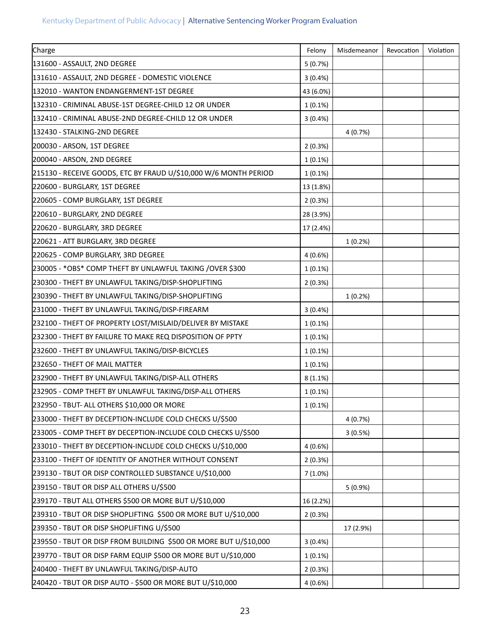| Charge                                                           | Felony     | Misdemeanor | Revocation | Violation |
|------------------------------------------------------------------|------------|-------------|------------|-----------|
| 131600 - ASSAULT, 2ND DEGREE                                     | 5(0.7%)    |             |            |           |
| 131610 - ASSAULT, 2ND DEGREE - DOMESTIC VIOLENCE                 | 3(0.4%)    |             |            |           |
| 132010 - WANTON ENDANGERMENT-1ST DEGREE                          | 43 (6.0%)  |             |            |           |
| 132310 - CRIMINAL ABUSE-1ST DEGREE-CHILD 12 OR UNDER             | 1(0.1%)    |             |            |           |
| 132410 - CRIMINAL ABUSE-2ND DEGREE-CHILD 12 OR UNDER             | 3(0.4%)    |             |            |           |
| 132430 - STALKING-2ND DEGREE                                     |            | 4(0.7%)     |            |           |
| 200030 - ARSON, 1ST DEGREE                                       | 2(0.3%)    |             |            |           |
| 200040 - ARSON, 2ND DEGREE                                       | 1(0.1%)    |             |            |           |
| 215130 - RECEIVE GOODS, ETC BY FRAUD U/\$10,000 W/6 MONTH PERIOD | $1(0.1\%)$ |             |            |           |
| 220600 - BURGLARY, 1ST DEGREE                                    | 13 (1.8%)  |             |            |           |
| 220605 - COMP BURGLARY, 1ST DEGREE                               | 2(0.3%)    |             |            |           |
| 220610 - BURGLARY, 2ND DEGREE                                    | 28 (3.9%)  |             |            |           |
| 220620 - BURGLARY, 3RD DEGREE                                    | 17 (2.4%)  |             |            |           |
| 220621 - ATT BURGLARY, 3RD DEGREE                                |            | 1(0.2%)     |            |           |
| 220625 - COMP BURGLARY, 3RD DEGREE                               | 4(0.6%)    |             |            |           |
| 230005 - *OBS* COMP THEFT BY UNLAWFUL TAKING /OVER \$300         | 1(0.1%)    |             |            |           |
| 230300 - THEFT BY UNLAWFUL TAKING/DISP-SHOPLIFTING               | 2(0.3%)    |             |            |           |
| 230390 - THEFT BY UNLAWFUL TAKING/DISP-SHOPLIFTING               |            | 1(0.2%)     |            |           |
| 231000 - THEFT BY UNLAWFUL TAKING/DISP-FIREARM                   | 3(0.4%)    |             |            |           |
| 232100 - THEFT OF PROPERTY LOST/MISLAID/DELIVER BY MISTAKE       | 1(0.1%)    |             |            |           |
| 232300 - THEFT BY FAILURE TO MAKE REQ DISPOSITION OF PPTY        | $1(0.1\%)$ |             |            |           |
| 232600 - THEFT BY UNLAWFUL TAKING/DISP-BICYCLES                  | 1(0.1%)    |             |            |           |
| 232650 - THEFT OF MAIL MATTER                                    | $1(0.1\%)$ |             |            |           |
| 232900 - THEFT BY UNLAWFUL TAKING/DISP-ALL OTHERS                | $8(1.1\%)$ |             |            |           |
| 232905 - COMP THEFT BY UNLAWFUL TAKING/DISP-ALL OTHERS           | 1(0.1%)    |             |            |           |
| 232950 - TBUT- ALL OTHERS \$10,000 OR MORE                       | $1(0.1\%)$ |             |            |           |
| 233000 - THEFT BY DECEPTION-INCLUDE COLD CHECKS U/\$500          |            | 4(0.7%)     |            |           |
| 233005 - COMP THEFT BY DECEPTION-INCLUDE COLD CHECKS U/\$500     |            | 3(0.5%)     |            |           |
| 233010 - THEFT BY DECEPTION-INCLUDE COLD CHECKS U/\$10,000       | 4(0.6%)    |             |            |           |
| 233100 - THEFT OF IDENTITY OF ANOTHER WITHOUT CONSENT            | 2(0.3%)    |             |            |           |
| 239130 - TBUT OR DISP CONTROLLED SUBSTANCE U/\$10,000            | 7(1.0%)    |             |            |           |
| 239150 - TBUT OR DISP ALL OTHERS U/\$500                         |            | 5(0.9%)     |            |           |
| 239170 - TBUT ALL OTHERS \$500 OR MORE BUT U/\$10,000            | 16 (2.2%)  |             |            |           |
| 239310 - TBUT OR DISP SHOPLIFTING \$500 OR MORE BUT U/\$10,000   | 2(0.3%)    |             |            |           |
| 239350 - TBUT OR DISP SHOPLIFTING U/\$500                        |            | 17 (2.9%)   |            |           |
| 239550 - TBUT OR DISP FROM BUILDING \$500 OR MORE BUT U/\$10,000 | 3(0.4%)    |             |            |           |
| 239770 - TBUT OR DISP FARM EQUIP \$500 OR MORE BUT U/\$10,000    | $1(0.1\%)$ |             |            |           |
| 240400 - THEFT BY UNLAWFUL TAKING/DISP-AUTO                      | 2(0.3%)    |             |            |           |
| 240420 - TBUT OR DISP AUTO - \$500 OR MORE BUT U/\$10,000        | 4(0.6%)    |             |            |           |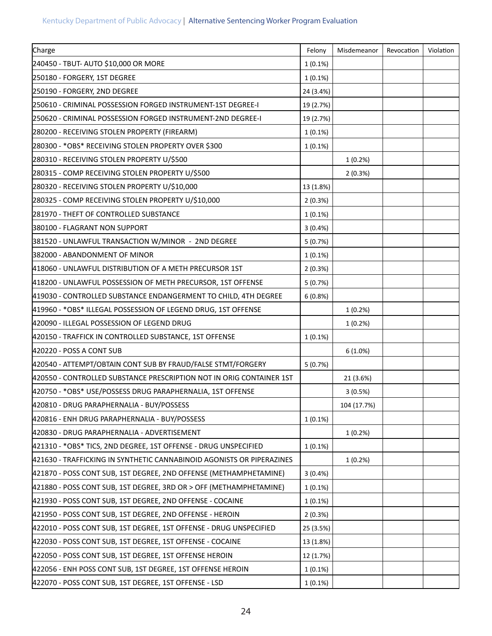| Charge                                                                | Felony     | Misdemeanor | Revocation | Violation |
|-----------------------------------------------------------------------|------------|-------------|------------|-----------|
| 240450 - TBUT- AUTO \$10,000 OR MORE                                  | $1(0.1\%)$ |             |            |           |
| 250180 - FORGERY, 1ST DEGREE                                          | 1(0.1%)    |             |            |           |
| 250190 - FORGERY, 2ND DEGREE                                          | 24 (3.4%)  |             |            |           |
| 250610 - CRIMINAL POSSESSION FORGED INSTRUMENT-1ST DEGREE-I           | 19 (2.7%)  |             |            |           |
| 250620 - CRIMINAL POSSESSION FORGED INSTRUMENT-2ND DEGREE-I           | 19 (2.7%)  |             |            |           |
| 280200 - RECEIVING STOLEN PROPERTY (FIREARM)                          | 1(0.1%)    |             |            |           |
| 280300 - *OBS* RECEIVING STOLEN PROPERTY OVER \$300                   | $1(0.1\%)$ |             |            |           |
| 280310 - RECEIVING STOLEN PROPERTY U/\$500                            |            | 1(0.2%)     |            |           |
| 280315 - COMP RECEIVING STOLEN PROPERTY U/\$500                       |            | 2(0.3%)     |            |           |
| 280320 - RECEIVING STOLEN PROPERTY U/\$10,000                         | 13 (1.8%)  |             |            |           |
| 280325 - COMP RECEIVING STOLEN PROPERTY U/\$10,000                    | 2(0.3%)    |             |            |           |
| 281970 - THEFT OF CONTROLLED SUBSTANCE                                | $1(0.1\%)$ |             |            |           |
| 380100 - FLAGRANT NON SUPPORT                                         | 3(0.4%)    |             |            |           |
| 381520 - UNLAWFUL TRANSACTION W/MINOR - 2ND DEGREE                    | 5(0.7%)    |             |            |           |
| 382000 - ABANDONMENT OF MINOR                                         | 1(0.1%)    |             |            |           |
| 418060 - UNLAWFUL DISTRIBUTION OF A METH PRECURSOR 1ST                | 2(0.3%)    |             |            |           |
| 418200 - UNLAWFUL POSSESSION OF METH PRECURSOR, 1ST OFFENSE           | 5(0.7%)    |             |            |           |
| 419030 - CONTROLLED SUBSTANCE ENDANGERMENT TO CHILD, 4TH DEGREE       | 6(0.8%)    |             |            |           |
| 419960 - *OBS* ILLEGAL POSSESSION OF LEGEND DRUG, 1ST OFFENSE         |            | 1(0.2%)     |            |           |
| 420090 - ILLEGAL POSSESSION OF LEGEND DRUG                            |            | 1(0.2%)     |            |           |
| 420150 - TRAFFICK IN CONTROLLED SUBSTANCE, 1ST OFFENSE                | 1(0.1%)    |             |            |           |
| 420220 - POSS A CONT SUB                                              |            | 6(1.0%)     |            |           |
| 420540 - ATTEMPT/OBTAIN CONT SUB BY FRAUD/FALSE STMT/FORGERY          | 5(0.7%)    |             |            |           |
| 420550 - CONTROLLED SUBSTANCE PRESCRIPTION NOT IN ORIG CONTAINER 1ST  |            | 21 (3.6%)   |            |           |
| 420750 - *OBS* USE/POSSESS DRUG PARAPHERNALIA, 1ST OFFENSE            |            | 3(0.5%)     |            |           |
| 420810 - DRUG PARAPHERNALIA - BUY/POSSESS                             |            | 104 (17.7%) |            |           |
| 420816 - ENH DRUG PARAPHERNALIA - BUY/POSSESS                         | $1(0.1\%)$ |             |            |           |
| 420830 - DRUG PARAPHERNALIA - ADVERTISEMENT                           |            | 1(0.2%)     |            |           |
| 421310 - *OBS* TICS, 2ND DEGREE, 1ST OFFENSE - DRUG UNSPECIFIED       | $1(0.1\%)$ |             |            |           |
| 421630 - TRAFFICKING IN SYNTHETIC CANNABINOID AGONISTS OR PIPERAZINES |            | 1(0.2%)     |            |           |
| 421870 - POSS CONT SUB, 1ST DEGREE, 2ND OFFENSE (METHAMPHETAMINE)     | 3(0.4%     |             |            |           |
| 421880 - POSS CONT SUB, 1ST DEGREE, 3RD OR > OFF (METHAMPHETAMINE)    | $1(0.1\%)$ |             |            |           |
| 421930 - POSS CONT SUB, 1ST DEGREE, 2ND OFFENSE - COCAINE             | $1(0.1\%)$ |             |            |           |
| 421950 - POSS CONT SUB, 1ST DEGREE, 2ND OFFENSE - HEROIN              | 2(0.3%)    |             |            |           |
| 422010 - POSS CONT SUB, 1ST DEGREE, 1ST OFFENSE - DRUG UNSPECIFIED    | 25 (3.5%)  |             |            |           |
| 422030 - POSS CONT SUB, 1ST DEGREE, 1ST OFFENSE - COCAINE             | 13 (1.8%)  |             |            |           |
| 422050 - POSS CONT SUB, 1ST DEGREE, 1ST OFFENSE HEROIN                | 12 (1.7%)  |             |            |           |
| 422056 - ENH POSS CONT SUB, 1ST DEGREE, 1ST OFFENSE HEROIN            | $1(0.1\%)$ |             |            |           |
| 422070 - POSS CONT SUB, 1ST DEGREE, 1ST OFFENSE - LSD                 | $1(0.1\%)$ |             |            |           |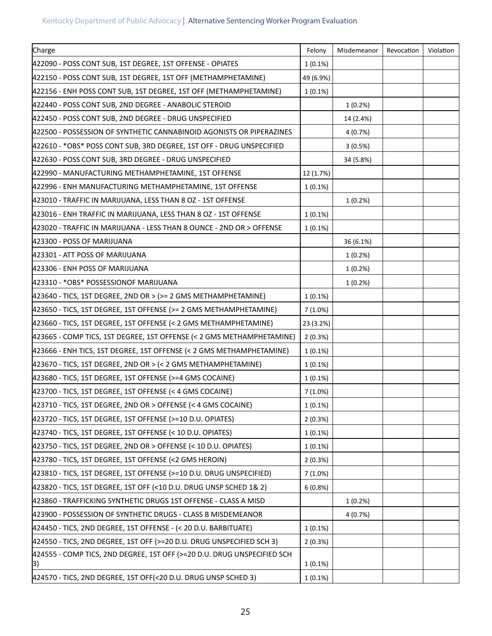| Charge                                                                        | Felony     | Misdemeanor | Revocation | Violation |
|-------------------------------------------------------------------------------|------------|-------------|------------|-----------|
| 422090 - POSS CONT SUB, 1ST DEGREE, 1ST OFFENSE - OPIATES                     | $1(0.1\%)$ |             |            |           |
| 422150 - POSS CONT SUB, 1ST DEGREE, 1ST OFF (METHAMPHETAMINE)                 | 49 (6.9%)  |             |            |           |
| 422156 - ENH POSS CONT SUB, 1ST DEGREE, 1ST OFF (METHAMPHETAMINE)             | $1(0.1\%)$ |             |            |           |
| 422440 - POSS CONT SUB, 2ND DEGREE - ANABOLIC STEROID                         |            | 1(0.2%)     |            |           |
| 422450 - POSS CONT SUB, 2ND DEGREE - DRUG UNSPECIFIED                         |            | 14 (2.4%)   |            |           |
| 422500 - POSSESSION OF SYNTHETIC CANNABINOID AGONISTS OR PIPERAZINES          |            | 4(0.7%)     |            |           |
| 422610 - *OBS* POSS CONT SUB, 3RD DEGREE, 1ST OFF - DRUG UNSPECIFIED          |            | 3(0.5%)     |            |           |
| 422630 - POSS CONT SUB, 3RD DEGREE - DRUG UNSPECIFIED                         |            | 34 (5.8%)   |            |           |
| 422990 - MANUFACTURING METHAMPHETAMINE, 1ST OFFENSE                           | 12 (1.7%)  |             |            |           |
| 422996 - ENH MANUFACTURING METHAMPHETAMINE, 1ST OFFENSE                       | $1(0.1\%)$ |             |            |           |
| 423010 - TRAFFIC IN MARIJUANA, LESS THAN 8 OZ - 1ST OFFENSE                   |            | 1(0.2%)     |            |           |
| 423016 - ENH TRAFFIC IN MARIJUANA, LESS THAN 8 OZ - 1ST OFFENSE               | $1(0.1\%)$ |             |            |           |
| 423020 - TRAFFIC IN MARIJUANA - LESS THAN 8 OUNCE - 2ND OR > OFFENSE          | $1(0.1\%)$ |             |            |           |
| 423300 - POSS OF MARIJUANA                                                    |            | 36 (6.1%)   |            |           |
| 423301 - ATT POSS OF MARIJUANA                                                |            | 1(0.2%)     |            |           |
| 423306 - ENH POSS OF MARIJUANA                                                |            | 1(0.2%)     |            |           |
| 423310 - * OBS* POSSESSIONOF MARIJUANA                                        |            | 1(0.2%)     |            |           |
| $ 423640 - TICS$ , 1ST DEGREE, 2ND OR > (>= 2 GMS METHAMPHETAMINE)            | 1(0.1%)    |             |            |           |
| 423650 - TICS, 1ST DEGREE, 1ST OFFENSE (>= 2 GMS METHAMPHETAMINE)             | 7(1.0%)    |             |            |           |
| 423660 - TICS, 1ST DEGREE, 1ST OFFENSE (< 2 GMS METHAMPHETAMINE)              | 23 (3.2%)  |             |            |           |
| 423665 - COMP TICS, 1ST DEGREE, 1ST OFFENSE (< 2 GMS METHAMPHETAMINE)         | 2(0.3%)    |             |            |           |
| 423666 - ENH TICS, 1ST DEGREE, 1ST OFFENSE (< 2 GMS METHAMPHETAMINE)          | $1(0.1\%)$ |             |            |           |
| $ 423670 - TICS$ , 1ST DEGREE, 2ND OR > (< 2 GMS METHAMPHETAMINE)             | $1(0.1\%)$ |             |            |           |
| 423680 - TICS, 1ST DEGREE, 1ST OFFENSE (>=4 GMS COCAINE)                      | $1(0.1\%)$ |             |            |           |
| 423700 - TICS, 1ST DEGREE, 1ST OFFENSE (< 4 GMS COCAINE)                      | 7(1.0%)    |             |            |           |
| 423710 - TICS, 1ST DEGREE, 2ND OR > OFFENSE (< 4 GMS COCAINE)                 | 1(0.1%)    |             |            |           |
| 423720 - TICS, 1ST DEGREE, 1ST OFFENSE (>=10 D.U. OPIATES)                    | 2(0.3%)    |             |            |           |
| 423740 - TICS, 1ST DEGREE, 1ST OFFENSE (< 10 D.U. OPIATES)                    | $1(0.1\%)$ |             |            |           |
| $ 423750 - TICS$ , 1ST DEGREE, 2ND OR > OFFENSE (< 10 D.U. OPIATES)           | $1(0.1\%)$ |             |            |           |
| 423780 - TICS, 1ST DEGREE, 1ST OFFENSE (<2 GMS HEROIN)                        | 2(0.3%)    |             |            |           |
| 423810 - TICS, 1ST DEGREE, 1ST OFFENSE (>=10 D.U. DRUG UNSPECIFIED)           | $7(1.0\%)$ |             |            |           |
| 423820 - TICS, 1ST DEGREE, 1ST OFF (<10 D.U. DRUG UNSP SCHED 1& 2)            | 6(0.8%)    |             |            |           |
| 423860 - TRAFFICKING SYNTHETIC DRUGS 1ST OFFENSE - CLASS A MISD               |            | 1(0.2%)     |            |           |
| 423900 - POSSESSION OF SYNTHETIC DRUGS - CLASS B MISDEMEANOR                  |            | 4 (0.7%)    |            |           |
| 424450 - TICS, 2ND DEGREE, 1ST OFFENSE - (< 20 D.U. BARBITUATE)               | $1(0.1\%)$ |             |            |           |
| 424550 - TICS, 2ND DEGREE, 1ST OFF (>=20 D.U. DRUG UNSPECIFIED SCH 3)         | 2(0.3%)    |             |            |           |
| 424555 - COMP TICS, 2ND DEGREE, 1ST OFF (>=20 D.U. DRUG UNSPECIFIED SCH<br>3) | $1(0.1\%)$ |             |            |           |
| 424570 - TICS, 2ND DEGREE, 1ST OFF(<20 D.U. DRUG UNSP SCHED 3)                | 1(0.1%)    |             |            |           |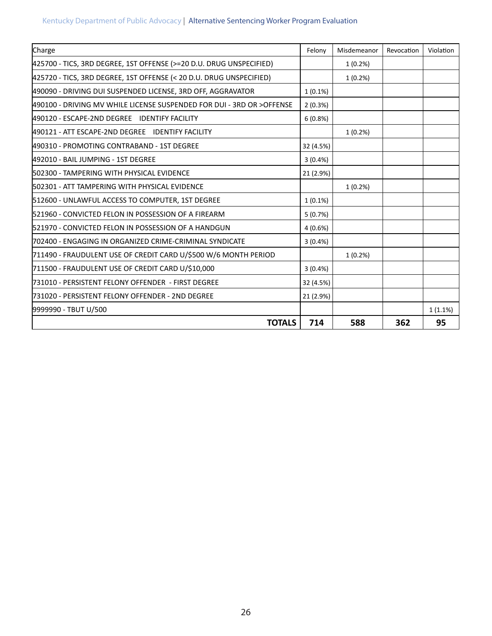| Charge                                                                | Felony     | Misdemeanor | Revocation | Violation |
|-----------------------------------------------------------------------|------------|-------------|------------|-----------|
| 425700 - TICS, 3RD DEGREE, 1ST OFFENSE (>=20 D.U. DRUG UNSPECIFIED)   |            | 1(0.2%)     |            |           |
| 425720 - TICS, 3RD DEGREE, 1ST OFFENSE (< 20 D.U. DRUG UNSPECIFIED)   |            | 1(0.2%)     |            |           |
| 490090 - DRIVING DUI SUSPENDED LICENSE, 3RD OFF, AGGRAVATOR           | $1(0.1\%)$ |             |            |           |
| 490100 - DRIVING MV WHILE LICENSE SUSPENDED FOR DUI - 3RD OR >OFFENSE | 2(0.3%)    |             |            |           |
| 490120 - ESCAPE-2ND DEGREE IDENTIFY FACILITY                          | 6(0.8%)    |             |            |           |
| 490121 - ATT ESCAPE-2ND DEGREE IDENTIFY FACILITY                      |            | 1(0.2%)     |            |           |
| 490310 - PROMOTING CONTRABAND - 1ST DEGREE                            | 32 (4.5%)  |             |            |           |
| 492010 - BAIL JUMPING - 1ST DEGREE                                    | 3(0.4%)    |             |            |           |
| 502300 - TAMPERING WITH PHYSICAL EVIDENCE                             | 21 (2.9%)  |             |            |           |
| 502301 - ATT TAMPERING WITH PHYSICAL EVIDENCE                         |            | 1(0.2%)     |            |           |
| 512600 - UNLAWFUL ACCESS TO COMPUTER, 1ST DEGREE                      | $1(0.1\%)$ |             |            |           |
| 521960 - CONVICTED FELON IN POSSESSION OF A FIREARM                   | 5(0.7%)    |             |            |           |
| 521970 - CONVICTED FELON IN POSSESSION OF A HANDGUN                   | 4(0.6%)    |             |            |           |
| 702400 - ENGAGING IN ORGANIZED CRIME-CRIMINAL SYNDICATE               | 3(0.4% )   |             |            |           |
| 711490 - FRAUDULENT USE OF CREDIT CARD U/\$500 W/6 MONTH PERIOD       |            | 1(0.2%)     |            |           |
| 711500 - FRAUDULENT USE OF CREDIT CARD U/\$10,000                     | 3(0.4%)    |             |            |           |
| 731010 - PERSISTENT FELONY OFFENDER - FIRST DEGREE                    | 32 (4.5%)  |             |            |           |
| 731020 - PERSISTENT FELONY OFFENDER - 2ND DEGREE                      | 21 (2.9%)  |             |            |           |
| 9999990 - TBUT U/500                                                  |            |             |            | 1(1.1%)   |
| <b>TOTALS</b>                                                         | 714        | 588         | 362        | 95        |